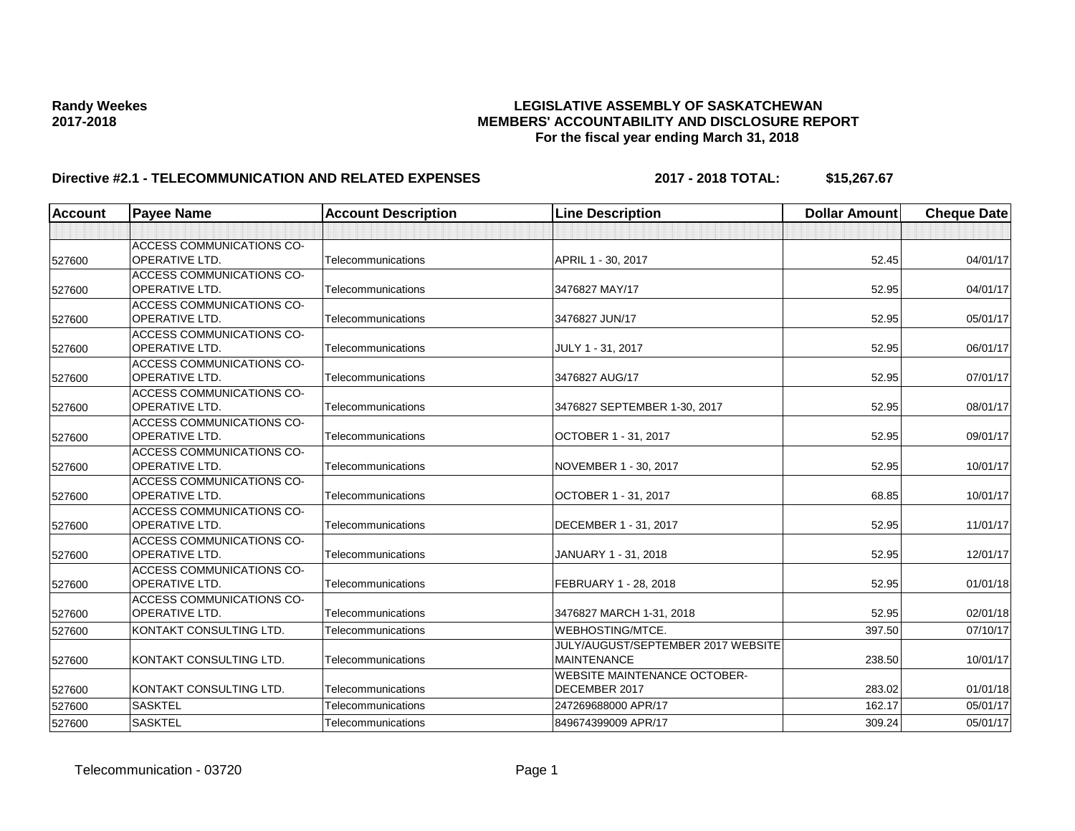# **Randy Weekes LEGISLATIVE ASSEMBLY OF SASKATCHEWAN 2017-2018 MEMBERS' ACCOUNTABILITY AND DISCLOSURE REPORT For the fiscal year ending March 31, 2018**

# **Directive #2.1 - TELECOMMUNICATION AND RELATED EXPENSES 2017 - 2018 TOTAL: \$15,267.67**

| <b>Account</b> | <b>Payee Name</b>                | <b>Account Description</b> | <b>Line Description</b>             | <b>Dollar Amount</b> | <b>Cheque Date</b> |
|----------------|----------------------------------|----------------------------|-------------------------------------|----------------------|--------------------|
|                |                                  |                            |                                     |                      |                    |
|                | <b>ACCESS COMMUNICATIONS CO-</b> |                            |                                     |                      |                    |
| 527600         | <b>OPERATIVE LTD.</b>            | Telecommunications         | APRIL 1 - 30, 2017                  | 52.45                | 04/01/17           |
|                | ACCESS COMMUNICATIONS CO-        |                            |                                     |                      |                    |
| 527600         | <b>OPERATIVE LTD.</b>            | Telecommunications         | 3476827 MAY/17                      | 52.95                | 04/01/17           |
|                | <b>ACCESS COMMUNICATIONS CO-</b> |                            |                                     |                      |                    |
| 527600         | <b>OPERATIVE LTD.</b>            | Telecommunications         | 3476827 JUN/17                      | 52.95                | 05/01/17           |
|                | ACCESS COMMUNICATIONS CO-        |                            |                                     |                      |                    |
| 527600         | <b>OPERATIVE LTD.</b>            | Telecommunications         | JULY 1 - 31, 2017                   | 52.95                | 06/01/17           |
|                | <b>ACCESS COMMUNICATIONS CO-</b> |                            |                                     |                      |                    |
| 527600         | <b>OPERATIVE LTD.</b>            | Telecommunications         | 3476827 AUG/17                      | 52.95                | 07/01/17           |
|                | <b>ACCESS COMMUNICATIONS CO-</b> |                            |                                     |                      |                    |
| 527600         | <b>OPERATIVE LTD.</b>            | Telecommunications         | 3476827 SEPTEMBER 1-30, 2017        | 52.95                | 08/01/17           |
|                | <b>ACCESS COMMUNICATIONS CO-</b> |                            |                                     |                      |                    |
| 527600         | <b>OPERATIVE LTD.</b>            | Telecommunications         | OCTOBER 1 - 31, 2017                | 52.95                | 09/01/17           |
|                | <b>ACCESS COMMUNICATIONS CO-</b> |                            |                                     |                      |                    |
| 527600         | <b>OPERATIVE LTD.</b>            | Telecommunications         | NOVEMBER 1 - 30, 2017               | 52.95                | 10/01/17           |
|                | <b>ACCESS COMMUNICATIONS CO-</b> |                            |                                     |                      |                    |
| 527600         | <b>OPERATIVE LTD.</b>            | Telecommunications         | OCTOBER 1 - 31, 2017                | 68.85                | 10/01/17           |
|                | <b>ACCESS COMMUNICATIONS CO-</b> |                            |                                     |                      |                    |
| 527600         | <b>OPERATIVE LTD.</b>            | Telecommunications         | DECEMBER 1 - 31, 2017               | 52.95                | 11/01/17           |
|                | <b>ACCESS COMMUNICATIONS CO-</b> |                            |                                     |                      |                    |
| 527600         | <b>OPERATIVE LTD.</b>            | Telecommunications         | JANUARY 1 - 31, 2018                | 52.95                | 12/01/17           |
|                | <b>ACCESS COMMUNICATIONS CO-</b> |                            |                                     |                      |                    |
| 527600         | <b>OPERATIVE LTD.</b>            | Telecommunications         | FEBRUARY 1 - 28, 2018               | 52.95                | 01/01/18           |
|                | <b>ACCESS COMMUNICATIONS CO-</b> |                            |                                     |                      |                    |
| 527600         | <b>OPERATIVE LTD.</b>            | Telecommunications         | 3476827 MARCH 1-31, 2018            | 52.95                | 02/01/18           |
| 527600         | KONTAKT CONSULTING LTD.          | Telecommunications         | WEBHOSTING/MTCE.                    | 397.50               | 07/10/17           |
|                |                                  |                            | JULY/AUGUST/SEPTEMBER 2017 WEBSITE  |                      |                    |
| 527600         | KONTAKT CONSULTING LTD.          | Telecommunications         | <b>MAINTENANCE</b>                  | 238.50               | 10/01/17           |
|                |                                  |                            | <b>WEBSITE MAINTENANCE OCTOBER-</b> |                      |                    |
| 527600         | KONTAKT CONSULTING LTD.          | Telecommunications         | DECEMBER 2017                       | 283.02               | 01/01/18           |
| 527600         | <b>SASKTEL</b>                   | Telecommunications         | 247269688000 APR/17                 | 162.17               | 05/01/17           |
| 527600         | <b>SASKTEL</b>                   | Telecommunications         | 849674399009 APR/17                 | 309.24               | 05/01/17           |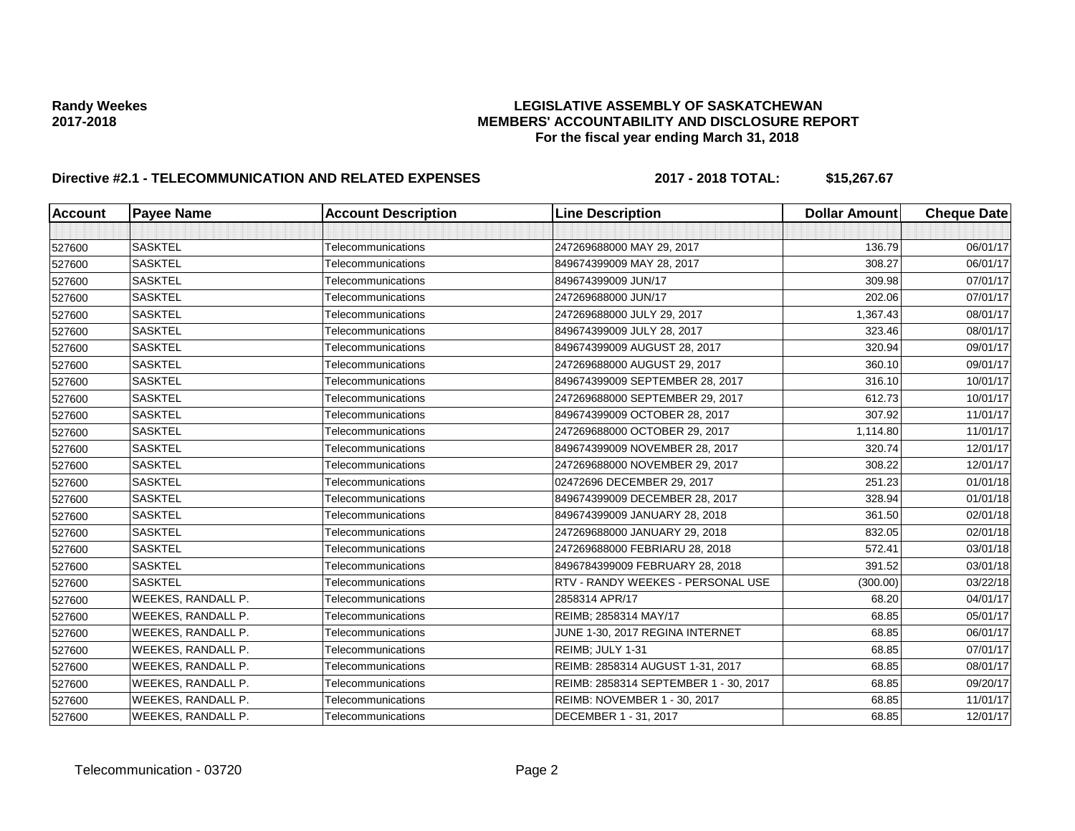# **Randy Weekes LEGISLATIVE ASSEMBLY OF SASKATCHEWAN 2017-2018 MEMBERS' ACCOUNTABILITY AND DISCLOSURE REPORT For the fiscal year ending March 31, 2018**

# **Directive #2.1 - TELECOMMUNICATION AND RELATED EXPENSES 2017 - 2018 TOTAL: \$15,267.67**

| <b>Account</b> | lPavee Name        | <b>Account Description</b> | <b>Line Description</b>               | <b>Dollar Amount</b> | <b>Cheque Date</b> |
|----------------|--------------------|----------------------------|---------------------------------------|----------------------|--------------------|
|                |                    |                            |                                       |                      |                    |
| 527600         | <b>SASKTEL</b>     | Telecommunications         | 247269688000 MAY 29, 2017             | 136.79               | 06/01/17           |
| 527600         | <b>SASKTEL</b>     | Telecommunications         | 849674399009 MAY 28, 2017             | 308.27               | 06/01/17           |
| 527600         | <b>SASKTEL</b>     | Telecommunications         | 849674399009 JUN/17                   | 309.98               | 07/01/17           |
| 527600         | <b>SASKTEL</b>     | Telecommunications         | 247269688000 JUN/17                   | 202.06               | 07/01/17           |
| 527600         | <b>SASKTEL</b>     | Telecommunications         | 247269688000 JULY 29, 2017            | 1,367.43             | 08/01/17           |
| 527600         | <b>SASKTEL</b>     | Telecommunications         | 849674399009 JULY 28, 2017            | 323.46               | 08/01/17           |
| 527600         | <b>SASKTEL</b>     | Telecommunications         | 849674399009 AUGUST 28, 2017          | 320.94               | 09/01/17           |
| 527600         | <b>SASKTEL</b>     | Telecommunications         | 247269688000 AUGUST 29, 2017          | 360.10               | 09/01/17           |
| 527600         | <b>SASKTEL</b>     | Telecommunications         | 849674399009 SEPTEMBER 28, 2017       | 316.10               | 10/01/17           |
| 527600         | <b>SASKTEL</b>     | Telecommunications         | 247269688000 SEPTEMBER 29, 2017       | 612.73               | 10/01/17           |
| 527600         | <b>SASKTEL</b>     | Telecommunications         | 849674399009 OCTOBER 28, 2017         | 307.92               | 11/01/17           |
| 527600         | <b>SASKTEL</b>     | Telecommunications         | 247269688000 OCTOBER 29, 2017         | 1,114.80             | 11/01/17           |
| 527600         | <b>SASKTEL</b>     | Telecommunications         | 849674399009 NOVEMBER 28, 2017        | 320.74               | 12/01/17           |
| 527600         | <b>SASKTEL</b>     | Telecommunications         | 247269688000 NOVEMBER 29, 2017        | 308.22               | 12/01/17           |
| 527600         | <b>SASKTEL</b>     | Telecommunications         | 02472696 DECEMBER 29, 2017            | 251.23               | 01/01/18           |
| 527600         | <b>SASKTEL</b>     | Telecommunications         | 849674399009 DECEMBER 28, 2017        | 328.94               | 01/01/18           |
| 527600         | <b>SASKTEL</b>     | Telecommunications         | 849674399009 JANUARY 28, 2018         | 361.50               | 02/01/18           |
| 527600         | <b>SASKTEL</b>     | Telecommunications         | 247269688000 JANUARY 29, 2018         | 832.05               | 02/01/18           |
| 527600         | <b>SASKTEL</b>     | <b>Telecommunications</b>  | 247269688000 FEBRIARU 28, 2018        | 572.41               | 03/01/18           |
| 527600         | <b>SASKTEL</b>     | Telecommunications         | 8496784399009 FEBRUARY 28, 2018       | 391.52               | 03/01/18           |
| 527600         | <b>SASKTEL</b>     | Telecommunications         | RTV - RANDY WEEKES - PERSONAL USE     | (300.00)             | 03/22/18           |
| 527600         | WEEKES, RANDALL P. | Telecommunications         | 2858314 APR/17                        | 68.20                | 04/01/17           |
| 527600         | WEEKES, RANDALL P. | Telecommunications         | REIMB; 2858314 MAY/17                 | 68.85                | 05/01/17           |
| 527600         | WEEKES, RANDALL P. | Telecommunications         | JUNE 1-30, 2017 REGINA INTERNET       | 68.85                | 06/01/17           |
| 527600         | WEEKES, RANDALL P. | Telecommunications         | REIMB; JULY 1-31                      | 68.85                | 07/01/17           |
| 527600         | WEEKES, RANDALL P. | Telecommunications         | REIMB: 2858314 AUGUST 1-31, 2017      | 68.85                | 08/01/17           |
| 527600         | WEEKES, RANDALL P. | Telecommunications         | REIMB: 2858314 SEPTEMBER 1 - 30, 2017 | 68.85                | 09/20/17           |
| 527600         | WEEKES, RANDALL P. | Telecommunications         | REIMB: NOVEMBER 1 - 30, 2017          | 68.85                | 11/01/17           |
| 527600         | WEEKES, RANDALL P. | Telecommunications         | DECEMBER 1 - 31, 2017                 | 68.85                | 12/01/17           |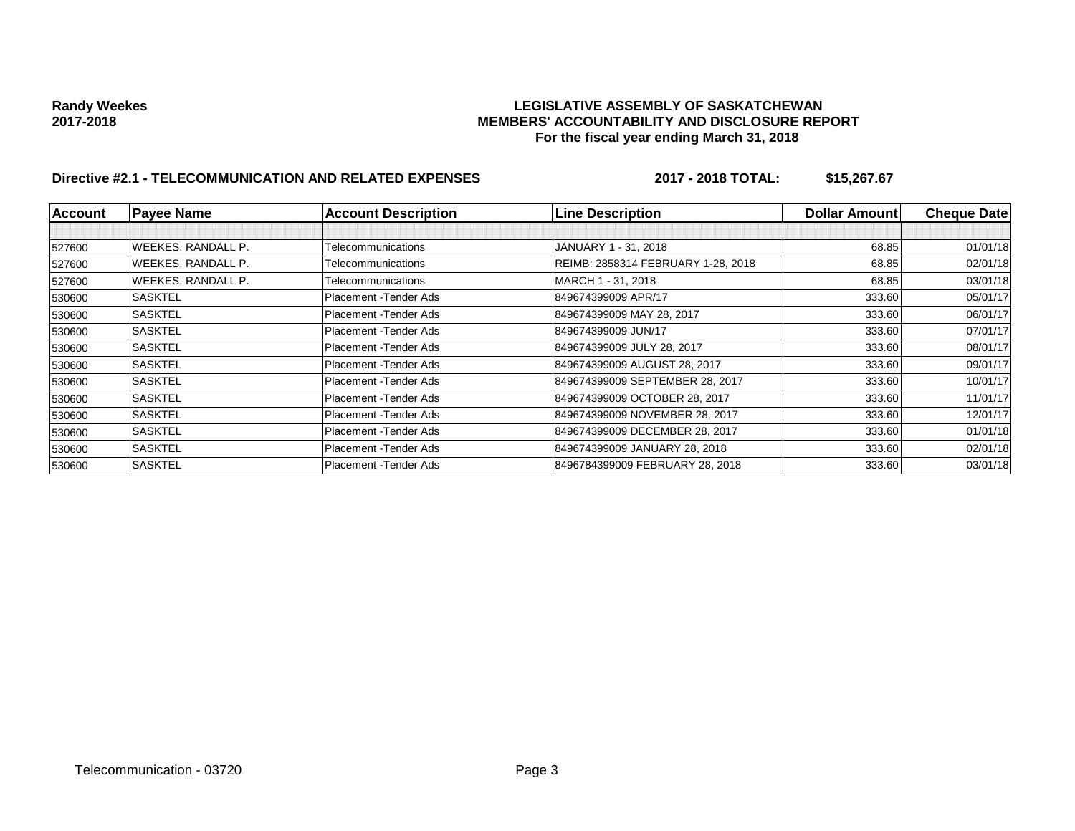# **Randy Weekes LEGISLATIVE ASSEMBLY OF SASKATCHEWAN 2017-2018 MEMBERS' ACCOUNTABILITY AND DISCLOSURE REPORT For the fiscal year ending March 31, 2018**

# **Directive #2.1 - TELECOMMUNICATION AND RELATED EXPENSES 2017 - 2018 TOTAL: \$15,267.67**

| <b>Account</b> | <b>Payee Name</b>         | <b>Account Description</b> | <b>Line Description</b>            | <b>Dollar Amountl</b> | <b>Cheque Date</b> |
|----------------|---------------------------|----------------------------|------------------------------------|-----------------------|--------------------|
|                |                           |                            |                                    |                       |                    |
| 527600         | <b>WEEKES, RANDALL P.</b> | Telecommunications         | JANUARY 1 - 31, 2018               | 68.85                 | 01/01/18           |
| 527600         | <b>WEEKES, RANDALL P.</b> | Telecommunications         | REIMB: 2858314 FEBRUARY 1-28, 2018 | 68.85                 | 02/01/18           |
| 527600         | <b>WEEKES, RANDALL P.</b> | Telecommunications         | MARCH 1 - 31, 2018                 | 68.85                 | 03/01/18           |
| 530600         | <b>SASKTEL</b>            | Placement - Tender Ads     | 849674399009 APR/17                | 333.60                | 05/01/17           |
| 530600         | <b>SASKTEL</b>            | Placement - Tender Ads     | 849674399009 MAY 28, 2017          | 333.60                | 06/01/17           |
| 530600         | <b>SASKTEL</b>            | Placement - Tender Ads     | 849674399009 JUN/17                | 333.60                | 07/01/17           |
| 530600         | <b>SASKTEL</b>            | Placement - Tender Ads     | 849674399009 JULY 28, 2017         | 333.60                | 08/01/17           |
| 530600         | <b>SASKTEL</b>            | Placement - Tender Ads     | 849674399009 AUGUST 28, 2017       | 333.60                | 09/01/17           |
| 530600         | <b>SASKTEL</b>            | Placement - Tender Ads     | 849674399009 SEPTEMBER 28, 2017    | 333.60                | 10/01/17           |
| 530600         | <b>SASKTEL</b>            | Placement - Tender Ads     | 849674399009 OCTOBER 28, 2017      | 333.60                | 11/01/17           |
| 530600         | <b>SASKTEL</b>            | Placement - Tender Ads     | 849674399009 NOVEMBER 28, 2017     | 333.60                | 12/01/17           |
| 530600         | <b>SASKTEL</b>            | Placement - Tender Ads     | 849674399009 DECEMBER 28, 2017     | 333.60                | 01/01/18           |
| 530600         | <b>SASKTEL</b>            | Placement - Tender Ads     | 849674399009 JANUARY 28, 2018      | 333.60                | 02/01/18           |
| 530600         | <b>SASKTEL</b>            | Placement - Tender Ads     | 8496784399009 FEBRUARY 28, 2018    | 333.60                | 03/01/18           |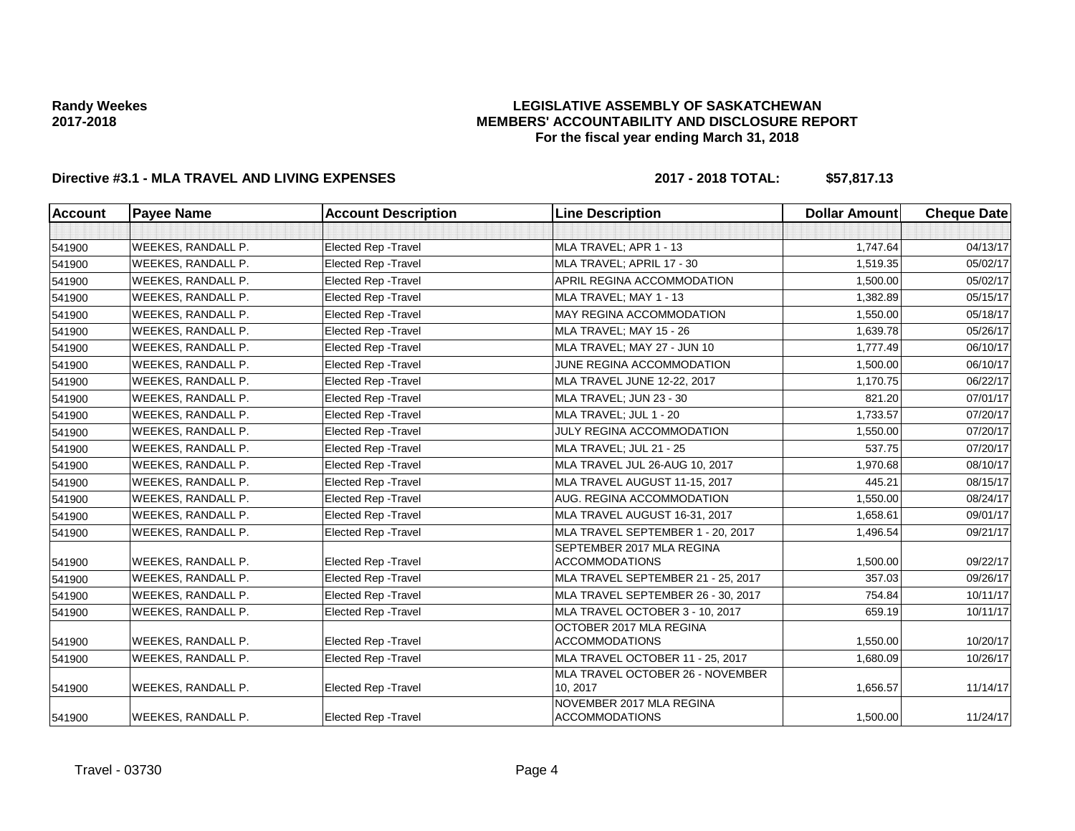## **LEGISLATIVE ASSEMBLY OF SASKATCHEWAN MEMBERS' ACCOUNTABILITY AND DISCLOSURE REPORT For the fiscal year ending March 31, 2018**

# **Directive #3.1 - MLA TRAVEL AND LIVING EXPENSES 2017 - 2018 TOTAL: \$57,817.13**

| <b>Account</b> | <b>Payee Name</b>         | <b>Account Description</b>  | <b>Line Description</b>                            | <b>Dollar Amount</b> | <b>Cheque Date</b> |
|----------------|---------------------------|-----------------------------|----------------------------------------------------|----------------------|--------------------|
|                |                           |                             |                                                    |                      |                    |
| 541900         | <b>WEEKES, RANDALL P.</b> | <b>Elected Rep - Travel</b> | MLA TRAVEL; APR 1 - 13                             | 1,747.64             | 04/13/17           |
| 541900         | WEEKES, RANDALL P.        | Elected Rep - Travel        | MLA TRAVEL; APRIL 17 - 30                          | 1,519.35             | 05/02/17           |
| 541900         | <b>WEEKES, RANDALL P.</b> | Elected Rep - Travel        | APRIL REGINA ACCOMMODATION                         | 1,500.00             | 05/02/17           |
| 541900         | WEEKES, RANDALL P.        | Elected Rep - Travel        | MLA TRAVEL; MAY 1 - 13                             | 1,382.89             | 05/15/17           |
| 541900         | WEEKES, RANDALL P.        | Elected Rep - Travel        | MAY REGINA ACCOMMODATION                           | 1,550.00             | 05/18/17           |
| 541900         | <b>WEEKES, RANDALL P.</b> | Elected Rep - Travel        | MLA TRAVEL; MAY 15 - 26                            | 1,639.78             | 05/26/17           |
| 541900         | WEEKES, RANDALL P.        | Elected Rep - Travel        | MLA TRAVEL; MAY 27 - JUN 10                        | 1,777.49             | 06/10/17           |
| 541900         | WEEKES, RANDALL P.        | <b>Elected Rep - Travel</b> | JUNE REGINA ACCOMMODATION                          | 1,500.00             | 06/10/17           |
| 541900         | WEEKES, RANDALL P.        | <b>Elected Rep - Travel</b> | MLA TRAVEL JUNE 12-22, 2017                        | 1,170.75             | 06/22/17           |
| 541900         | WEEKES, RANDALL P.        | <b>Elected Rep - Travel</b> | MLA TRAVEL; JUN 23 - 30                            | 821.20               | 07/01/17           |
| 541900         | WEEKES, RANDALL P.        | <b>Elected Rep - Travel</b> | MLA TRAVEL; JUL 1 - 20                             | 1,733.57             | 07/20/17           |
| 541900         | WEEKES, RANDALL P.        | <b>Elected Rep - Travel</b> | JULY REGINA ACCOMMODATION                          | 1,550.00             | 07/20/17           |
| 541900         | WEEKES, RANDALL P.        | <b>Elected Rep - Travel</b> | MLA TRAVEL; JUL 21 - 25                            | 537.75               | 07/20/17           |
| 541900         | <b>WEEKES, RANDALL P.</b> | <b>Elected Rep - Travel</b> | MLA TRAVEL JUL 26-AUG 10, 2017                     | 1,970.68             | 08/10/17           |
| 541900         | WEEKES, RANDALL P.        | Elected Rep - Travel        | MLA TRAVEL AUGUST 11-15, 2017                      | 445.21               | 08/15/17           |
| 541900         | WEEKES, RANDALL P.        | <b>Elected Rep - Travel</b> | AUG. REGINA ACCOMMODATION                          | 1,550.00             | 08/24/17           |
| 541900         | WEEKES, RANDALL P.        | Elected Rep - Travel        | MLA TRAVEL AUGUST 16-31, 2017                      | 1,658.61             | 09/01/17           |
| 541900         | WEEKES, RANDALL P.        | <b>Elected Rep - Travel</b> | MLA TRAVEL SEPTEMBER 1 - 20, 2017                  | 1,496.54             | 09/21/17           |
| 541900         | WEEKES, RANDALL P.        | Elected Rep - Travel        | SEPTEMBER 2017 MLA REGINA<br><b>ACCOMMODATIONS</b> | 1,500.00             | 09/22/17           |
| 541900         | WEEKES, RANDALL P.        | Elected Rep - Travel        | MLA TRAVEL SEPTEMBER 21 - 25, 2017                 | 357.03               | 09/26/17           |
| 541900         | WEEKES, RANDALL P.        | <b>Elected Rep - Travel</b> | MLA TRAVEL SEPTEMBER 26 - 30, 2017                 | 754.84               | 10/11/17           |
| 541900         | WEEKES, RANDALL P.        | <b>Elected Rep - Travel</b> | MLA TRAVEL OCTOBER 3 - 10, 2017                    | 659.19               | 10/11/17           |
| 541900         | WEEKES, RANDALL P.        | <b>Elected Rep - Travel</b> | OCTOBER 2017 MLA REGINA<br><b>ACCOMMODATIONS</b>   | 1,550.00             | 10/20/17           |
| 541900         | WEEKES, RANDALL P.        | Elected Rep - Travel        | MLA TRAVEL OCTOBER 11 - 25, 2017                   | 1,680.09             | 10/26/17           |
| 541900         | WEEKES, RANDALL P.        | <b>Elected Rep - Travel</b> | MLA TRAVEL OCTOBER 26 - NOVEMBER<br>10, 2017       | 1,656.57             | 11/14/17           |
| 541900         | WEEKES, RANDALL P.        | Elected Rep - Travel        | NOVEMBER 2017 MLA REGINA<br><b>ACCOMMODATIONS</b>  | 1,500.00             | 11/24/17           |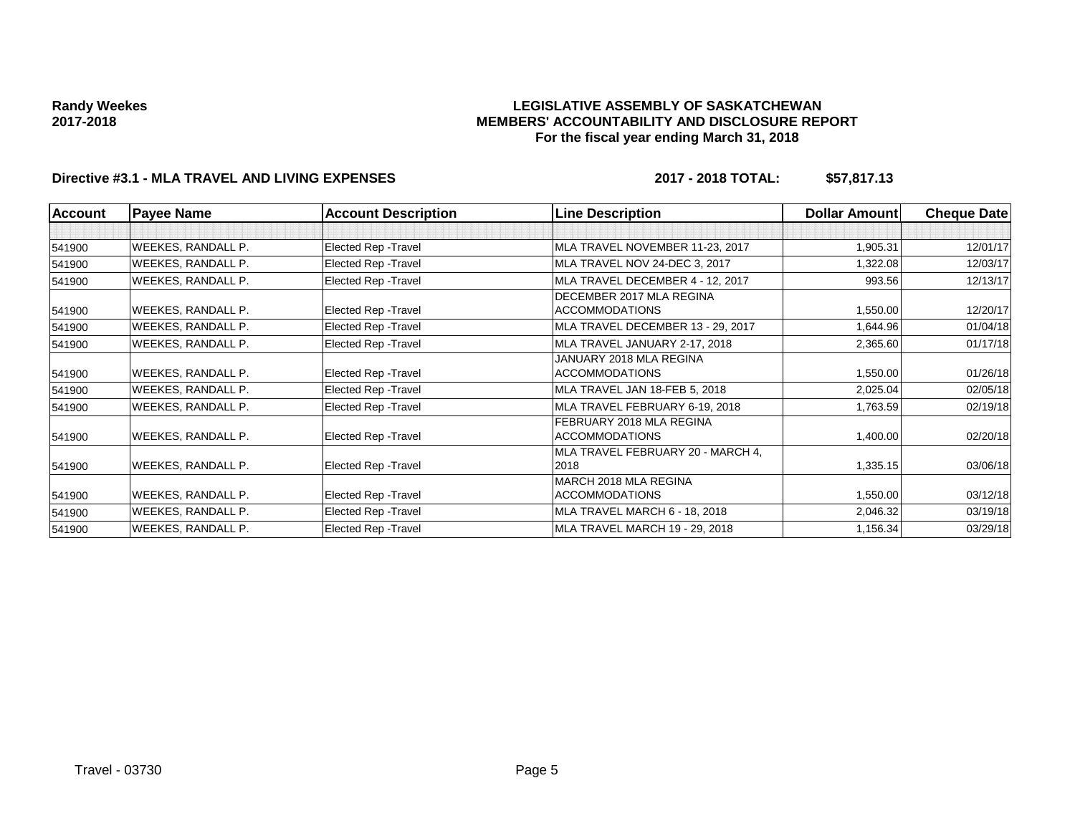### **LEGISLATIVE ASSEMBLY OF SASKATCHEWAN MEMBERS' ACCOUNTABILITY AND DISCLOSURE REPORT For the fiscal year ending March 31, 2018**

# **Directive #3.1 - MLA TRAVEL AND LIVING EXPENSES 2017 - 2018 TOTAL: \$57,817.13**

| <b>Account</b> | <b>Payee Name</b>         | <b>Account Description</b> | <b>Line Description</b>                           | <b>Dollar Amount</b> | <b>Cheque Date</b> |
|----------------|---------------------------|----------------------------|---------------------------------------------------|----------------------|--------------------|
|                |                           |                            |                                                   |                      |                    |
| 541900         | WEEKES, RANDALL P.        | Elected Rep - Travel       | MLA TRAVEL NOVEMBER 11-23, 2017                   | 1,905.31             | 12/01/17           |
| 541900         | WEEKES, RANDALL P.        | Elected Rep - Travel       | MLA TRAVEL NOV 24-DEC 3, 2017                     | 1,322.08             | 12/03/17           |
| 541900         | WEEKES, RANDALL P.        | Elected Rep - Travel       | MLA TRAVEL DECEMBER 4 - 12, 2017                  | 993.56               | 12/13/17           |
| 541900         | WEEKES, RANDALL P.        | Elected Rep - Travel       | DECEMBER 2017 MLA REGINA<br><b>ACCOMMODATIONS</b> | 1,550.00             | 12/20/17           |
| 541900         | WEEKES, RANDALL P.        | Elected Rep - Travel       | MLA TRAVEL DECEMBER 13 - 29, 2017                 | 1,644.96             | 01/04/18           |
| 541900         | WEEKES, RANDALL P.        | Elected Rep - Travel       | MLA TRAVEL JANUARY 2-17, 2018                     | 2,365.60             | 01/17/18           |
| 541900         | WEEKES, RANDALL P.        | Elected Rep - Travel       | JANUARY 2018 MLA REGINA<br><b>ACCOMMODATIONS</b>  | 1,550.00             | 01/26/18           |
| 541900         | WEEKES, RANDALL P.        | Elected Rep - Travel       | MLA TRAVEL JAN 18-FEB 5, 2018                     | 2,025.04             | 02/05/18           |
| 541900         | WEEKES, RANDALL P.        | Elected Rep - Travel       | MLA TRAVEL FEBRUARY 6-19, 2018                    | 1,763.59             | 02/19/18           |
| 541900         | WEEKES, RANDALL P.        | Elected Rep - Travel       | FEBRUARY 2018 MLA REGINA<br><b>ACCOMMODATIONS</b> | 1,400.00             | 02/20/18           |
| 541900         | WEEKES, RANDALL P.        | Elected Rep - Travel       | MLA TRAVEL FEBRUARY 20 - MARCH 4,<br>2018         | 1,335.15             | 03/06/18           |
| 541900         | <b>WEEKES, RANDALL P.</b> | Elected Rep - Travel       | MARCH 2018 MLA REGINA<br><b>ACCOMMODATIONS</b>    | 1,550.00             | 03/12/18           |
| 541900         | WEEKES, RANDALL P.        | Elected Rep - Travel       | MLA TRAVEL MARCH 6 - 18, 2018                     | 2,046.32             | 03/19/18           |
| 541900         | WEEKES, RANDALL P.        | Elected Rep - Travel       | MLA TRAVEL MARCH 19 - 29, 2018                    | 1,156.34             | 03/29/18           |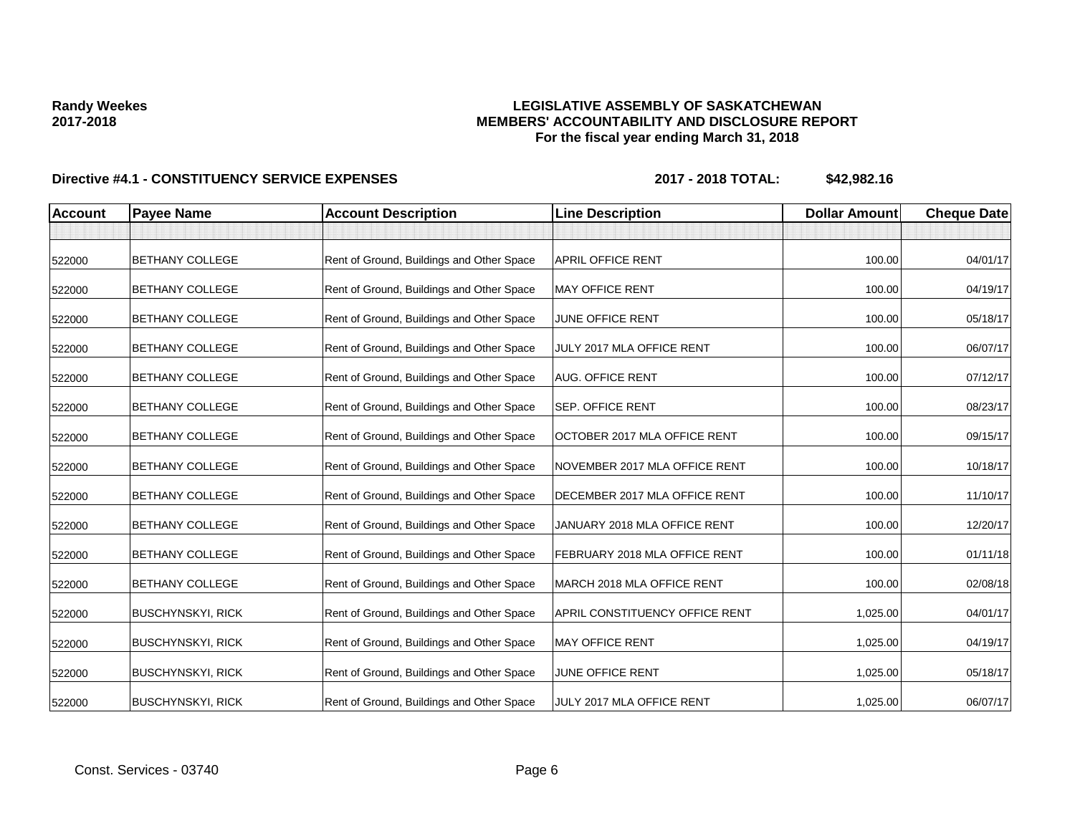## **LEGISLATIVE ASSEMBLY OF SASKATCHEWAN MEMBERS' ACCOUNTABILITY AND DISCLOSURE REPORT For the fiscal year ending March 31, 2018**

| <b>Account</b> | <b>Payee Name</b>        | <b>Account Description</b>                | <b>Line Description</b>               | <b>Dollar Amount</b> | <b>Cheque Date</b> |
|----------------|--------------------------|-------------------------------------------|---------------------------------------|----------------------|--------------------|
|                |                          |                                           |                                       |                      |                    |
| 522000         | <b>BETHANY COLLEGE</b>   | Rent of Ground, Buildings and Other Space | <b>APRIL OFFICE RENT</b>              | 100.00               | 04/01/17           |
| 522000         | <b>BETHANY COLLEGE</b>   | Rent of Ground, Buildings and Other Space | <b>MAY OFFICE RENT</b>                | 100.00               | 04/19/17           |
| 522000         | <b>BETHANY COLLEGE</b>   | Rent of Ground, Buildings and Other Space | JUNE OFFICE RENT                      | 100.00               | 05/18/17           |
| 522000         | <b>BETHANY COLLEGE</b>   | Rent of Ground, Buildings and Other Space | JULY 2017 MLA OFFICE RENT             | 100.00               | 06/07/17           |
| 522000         | <b>BETHANY COLLEGE</b>   | Rent of Ground, Buildings and Other Space | <b>AUG. OFFICE RENT</b>               | 100.00               | 07/12/17           |
| 522000         | <b>BETHANY COLLEGE</b>   | Rent of Ground, Buildings and Other Space | <b>SEP. OFFICE RENT</b>               | 100.00               | 08/23/17           |
| 522000         | <b>BETHANY COLLEGE</b>   | Rent of Ground, Buildings and Other Space | OCTOBER 2017 MLA OFFICE RENT          | 100.00               | 09/15/17           |
| 522000         | <b>BETHANY COLLEGE</b>   | Rent of Ground, Buildings and Other Space | NOVEMBER 2017 MLA OFFICE RENT         | 100.00               | 10/18/17           |
| 522000         | <b>BETHANY COLLEGE</b>   | Rent of Ground, Buildings and Other Space | DECEMBER 2017 MLA OFFICE RENT         | 100.00               | 11/10/17           |
| 522000         | <b>BETHANY COLLEGE</b>   | Rent of Ground, Buildings and Other Space | JANUARY 2018 MLA OFFICE RENT          | 100.00               | 12/20/17           |
| 522000         | <b>BETHANY COLLEGE</b>   | Rent of Ground, Buildings and Other Space | <b>FEBRUARY 2018 MLA OFFICE RENT</b>  | 100.00               | 01/11/18           |
| 522000         | <b>BETHANY COLLEGE</b>   | Rent of Ground, Buildings and Other Space | MARCH 2018 MLA OFFICE RENT            | 100.00               | 02/08/18           |
| 522000         | <b>BUSCHYNSKYI, RICK</b> | Rent of Ground, Buildings and Other Space | <b>APRIL CONSTITUENCY OFFICE RENT</b> | 1,025.00             | 04/01/17           |
| 522000         | <b>BUSCHYNSKYI, RICK</b> | Rent of Ground, Buildings and Other Space | <b>MAY OFFICE RENT</b>                | 1,025.00             | 04/19/17           |
| 522000         | <b>BUSCHYNSKYI, RICK</b> | Rent of Ground, Buildings and Other Space | JUNE OFFICE RENT                      | 1,025.00             | 05/18/17           |
| 522000         | <b>BUSCHYNSKYI, RICK</b> | Rent of Ground, Buildings and Other Space | JULY 2017 MLA OFFICE RENT             | 1,025.00             | 06/07/17           |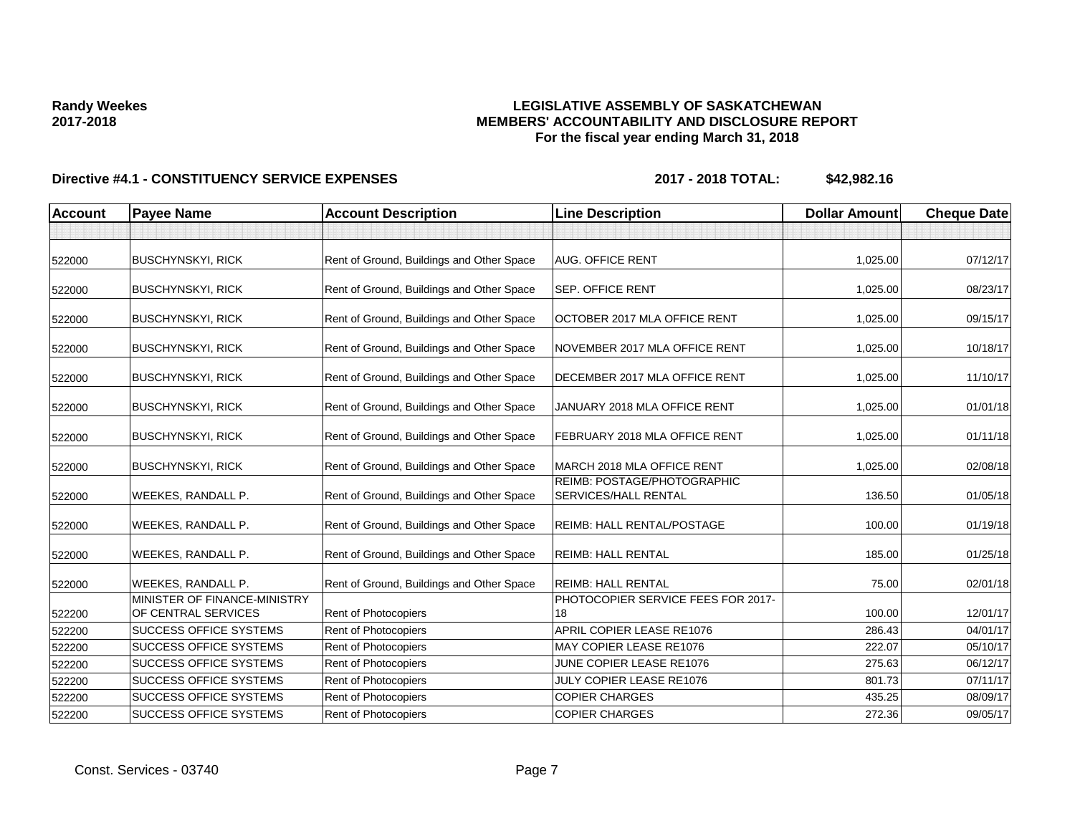## **LEGISLATIVE ASSEMBLY OF SASKATCHEWAN MEMBERS' ACCOUNTABILITY AND DISCLOSURE REPORT For the fiscal year ending March 31, 2018**

| <b>Account</b> | <b>Payee Name</b>                                   | <b>Account Description</b>                | <b>Line Description</b>                             | <b>Dollar Amount</b> | <b>Cheque Date</b> |
|----------------|-----------------------------------------------------|-------------------------------------------|-----------------------------------------------------|----------------------|--------------------|
|                |                                                     |                                           |                                                     |                      |                    |
| 522000         | <b>BUSCHYNSKYI, RICK</b>                            | Rent of Ground, Buildings and Other Space | <b>AUG. OFFICE RENT</b>                             | 1,025.00             | 07/12/17           |
| 522000         | <b>BUSCHYNSKYI, RICK</b>                            | Rent of Ground, Buildings and Other Space | <b>SEP. OFFICE RENT</b>                             | 1,025.00             | 08/23/17           |
| 522000         | <b>BUSCHYNSKYI, RICK</b>                            | Rent of Ground, Buildings and Other Space | OCTOBER 2017 MLA OFFICE RENT                        | 1,025.00             | 09/15/17           |
| 522000         | <b>BUSCHYNSKYI, RICK</b>                            | Rent of Ground, Buildings and Other Space | NOVEMBER 2017 MLA OFFICE RENT                       | 1,025.00             | 10/18/17           |
| 522000         | <b>BUSCHYNSKYI, RICK</b>                            | Rent of Ground, Buildings and Other Space | DECEMBER 2017 MLA OFFICE RENT                       | 1,025.00             | 11/10/17           |
| 522000         | <b>BUSCHYNSKYI, RICK</b>                            | Rent of Ground, Buildings and Other Space | JANUARY 2018 MLA OFFICE RENT                        | 1,025.00             | 01/01/18           |
| 522000         | <b>BUSCHYNSKYI, RICK</b>                            | Rent of Ground, Buildings and Other Space | FEBRUARY 2018 MLA OFFICE RENT                       | 1,025.00             | 01/11/18           |
| 522000         | <b>BUSCHYNSKYI, RICK</b>                            | Rent of Ground, Buildings and Other Space | MARCH 2018 MLA OFFICE RENT                          | 1,025.00             | 02/08/18           |
| 522000         | <b>WEEKES, RANDALL P.</b>                           | Rent of Ground, Buildings and Other Space | REIMB: POSTAGE/PHOTOGRAPHIC<br>SERVICES/HALL RENTAL | 136.50               | 01/05/18           |
| 522000         | <b>WEEKES, RANDALL P.</b>                           | Rent of Ground, Buildings and Other Space | <b>REIMB: HALL RENTAL/POSTAGE</b>                   | 100.00               | 01/19/18           |
| 522000         | <b>WEEKES, RANDALL P.</b>                           | Rent of Ground, Buildings and Other Space | <b>REIMB: HALL RENTAL</b>                           | 185.00               | 01/25/18           |
| 522000         | <b>WEEKES, RANDALL P.</b>                           | Rent of Ground, Buildings and Other Space | <b>REIMB: HALL RENTAL</b>                           | 75.00                | 02/01/18           |
| 522200         | MINISTER OF FINANCE-MINISTRY<br>OF CENTRAL SERVICES | Rent of Photocopiers                      | PHOTOCOPIER SERVICE FEES FOR 2017-<br>18            | 100.00               | 12/01/17           |
| 522200         | <b>SUCCESS OFFICE SYSTEMS</b>                       | Rent of Photocopiers                      | APRIL COPIER LEASE RE1076                           | 286.43               | 04/01/17           |
| 522200         | <b>SUCCESS OFFICE SYSTEMS</b>                       | Rent of Photocopiers                      | MAY COPIER LEASE RE1076                             | 222.07               | 05/10/17           |
| 522200         | <b>SUCCESS OFFICE SYSTEMS</b>                       | Rent of Photocopiers                      | JUNE COPIER LEASE RE1076                            | 275.63               | 06/12/17           |
| 522200         | <b>SUCCESS OFFICE SYSTEMS</b>                       | Rent of Photocopiers                      | JULY COPIER LEASE RE1076                            | 801.73               | 07/11/17           |
| 522200         | <b>SUCCESS OFFICE SYSTEMS</b>                       | Rent of Photocopiers                      | <b>COPIER CHARGES</b>                               | 435.25               | 08/09/17           |
| 522200         | <b>SUCCESS OFFICE SYSTEMS</b>                       | Rent of Photocopiers                      | <b>COPIER CHARGES</b>                               | 272.36               | 09/05/17           |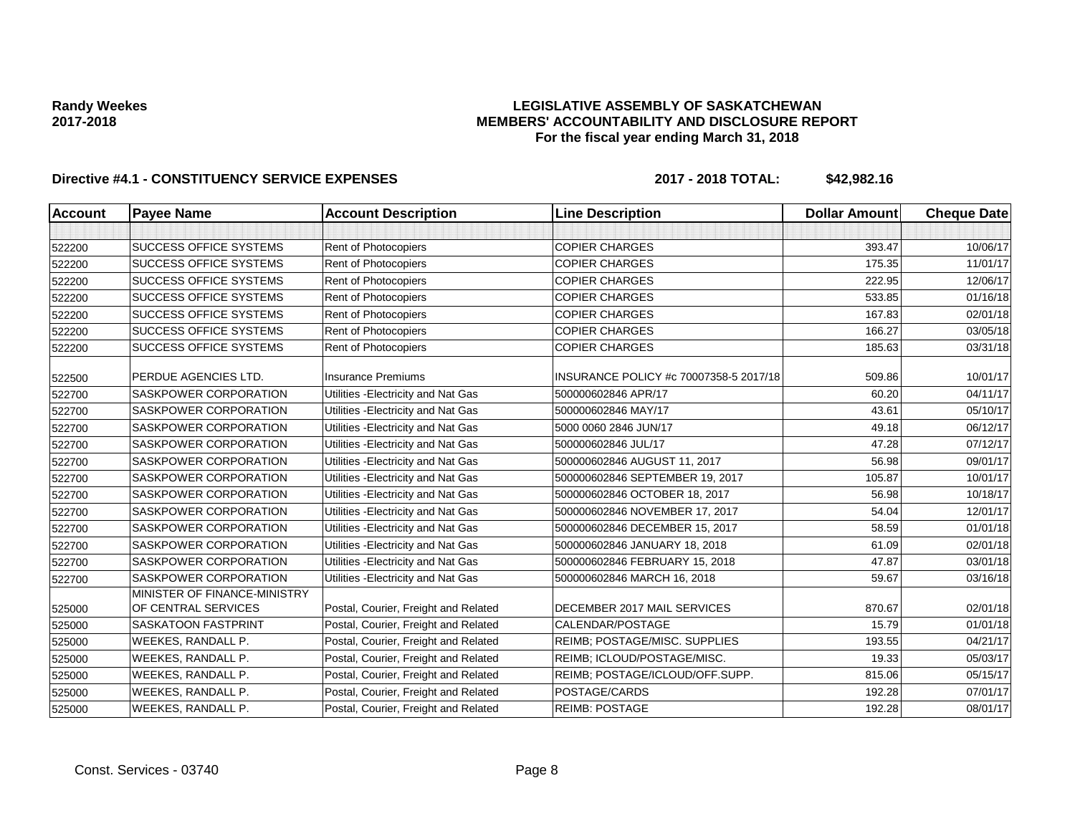## **LEGISLATIVE ASSEMBLY OF SASKATCHEWAN MEMBERS' ACCOUNTABILITY AND DISCLOSURE REPORT For the fiscal year ending March 31, 2018**

| <b>Account</b> | <b>Payee Name</b>                                   | <b>Account Description</b>           | <b>Line Description</b>                | <b>Dollar Amount</b> | <b>Cheque Date</b> |
|----------------|-----------------------------------------------------|--------------------------------------|----------------------------------------|----------------------|--------------------|
|                |                                                     |                                      |                                        |                      |                    |
| 522200         | <b>SUCCESS OFFICE SYSTEMS</b>                       | Rent of Photocopiers                 | <b>COPIER CHARGES</b>                  | 393.47               | 10/06/17           |
| 522200         | <b>SUCCESS OFFICE SYSTEMS</b>                       | <b>Rent of Photocopiers</b>          | <b>COPIER CHARGES</b>                  | 175.35               | 11/01/17           |
| 522200         | <b>SUCCESS OFFICE SYSTEMS</b>                       | Rent of Photocopiers                 | <b>COPIER CHARGES</b>                  | 222.95               | 12/06/17           |
| 522200         | <b>SUCCESS OFFICE SYSTEMS</b>                       | Rent of Photocopiers                 | <b>COPIER CHARGES</b>                  | 533.85               | 01/16/18           |
| 522200         | <b>SUCCESS OFFICE SYSTEMS</b>                       | Rent of Photocopiers                 | <b>COPIER CHARGES</b>                  | 167.83               | 02/01/18           |
| 522200         | <b>SUCCESS OFFICE SYSTEMS</b>                       | Rent of Photocopiers                 | <b>COPIER CHARGES</b>                  | 166.27               | 03/05/18           |
| 522200         | <b>SUCCESS OFFICE SYSTEMS</b>                       | Rent of Photocopiers                 | <b>COPIER CHARGES</b>                  | 185.63               | 03/31/18           |
| 522500         | PERDUE AGENCIES LTD.                                | <b>Insurance Premiums</b>            | INSURANCE POLICY #c 70007358-5 2017/18 | 509.86               | 10/01/17           |
| 522700         | SASKPOWER CORPORATION                               | Utilities - Electricity and Nat Gas  | 500000602846 APR/17                    | 60.20                | 04/11/17           |
| 522700         | SASKPOWER CORPORATION                               | Utilities - Electricity and Nat Gas  | 500000602846 MAY/17                    | 43.61                | 05/10/17           |
| 522700         | <b>SASKPOWER CORPORATION</b>                        | Utilities - Electricity and Nat Gas  | 5000 0060 2846 JUN/17                  | 49.18                | 06/12/17           |
| 522700         | SASKPOWER CORPORATION                               | Utilities - Electricity and Nat Gas  | 500000602846 JUL/17                    | 47.28                | 07/12/17           |
| 522700         | <b>SASKPOWER CORPORATION</b>                        | Utilities - Electricity and Nat Gas  | 500000602846 AUGUST 11, 2017           | 56.98                | 09/01/17           |
| 522700         | SASKPOWER CORPORATION                               | Utilities - Electricity and Nat Gas  | 500000602846 SEPTEMBER 19, 2017        | 105.87               | 10/01/17           |
| 522700         | <b>SASKPOWER CORPORATION</b>                        | Utilities - Electricity and Nat Gas  | 500000602846 OCTOBER 18, 2017          | 56.98                | 10/18/17           |
| 522700         | <b>SASKPOWER CORPORATION</b>                        | Utilities - Electricity and Nat Gas  | 500000602846 NOVEMBER 17, 2017         | 54.04                | 12/01/17           |
| 522700         | SASKPOWER CORPORATION                               | Utilities - Electricity and Nat Gas  | 500000602846 DECEMBER 15, 2017         | 58.59                | 01/01/18           |
| 522700         | <b>SASKPOWER CORPORATION</b>                        | Utilities - Electricity and Nat Gas  | 500000602846 JANUARY 18, 2018          | 61.09                | 02/01/18           |
| 522700         | <b>SASKPOWER CORPORATION</b>                        | Utilities - Electricity and Nat Gas  | 500000602846 FEBRUARY 15, 2018         | 47.87                | 03/01/18           |
| 522700         | SASKPOWER CORPORATION                               | Utilities - Electricity and Nat Gas  | 500000602846 MARCH 16, 2018            | 59.67                | 03/16/18           |
| 525000         | MINISTER OF FINANCE-MINISTRY<br>OF CENTRAL SERVICES | Postal, Courier, Freight and Related | DECEMBER 2017 MAIL SERVICES            | 870.67               | 02/01/18           |
| 525000         | <b>SASKATOON FASTPRINT</b>                          | Postal, Courier, Freight and Related | CALENDAR/POSTAGE                       | 15.79                | 01/01/18           |
| 525000         | WEEKES, RANDALL P.                                  | Postal, Courier, Freight and Related | REIMB; POSTAGE/MISC. SUPPLIES          | 193.55               | 04/21/17           |
| 525000         | WEEKES, RANDALL P.                                  | Postal, Courier, Freight and Related | REIMB; ICLOUD/POSTAGE/MISC.            | 19.33                | 05/03/17           |
| 525000         | WEEKES, RANDALL P.                                  | Postal, Courier, Freight and Related | REIMB; POSTAGE/ICLOUD/OFF.SUPP.        | 815.06               | 05/15/17           |
| 525000         | WEEKES, RANDALL P.                                  | Postal, Courier, Freight and Related | POSTAGE/CARDS                          | 192.28               | 07/01/17           |
| 525000         | WEEKES, RANDALL P.                                  | Postal, Courier, Freight and Related | <b>REIMB: POSTAGE</b>                  | 192.28               | 08/01/17           |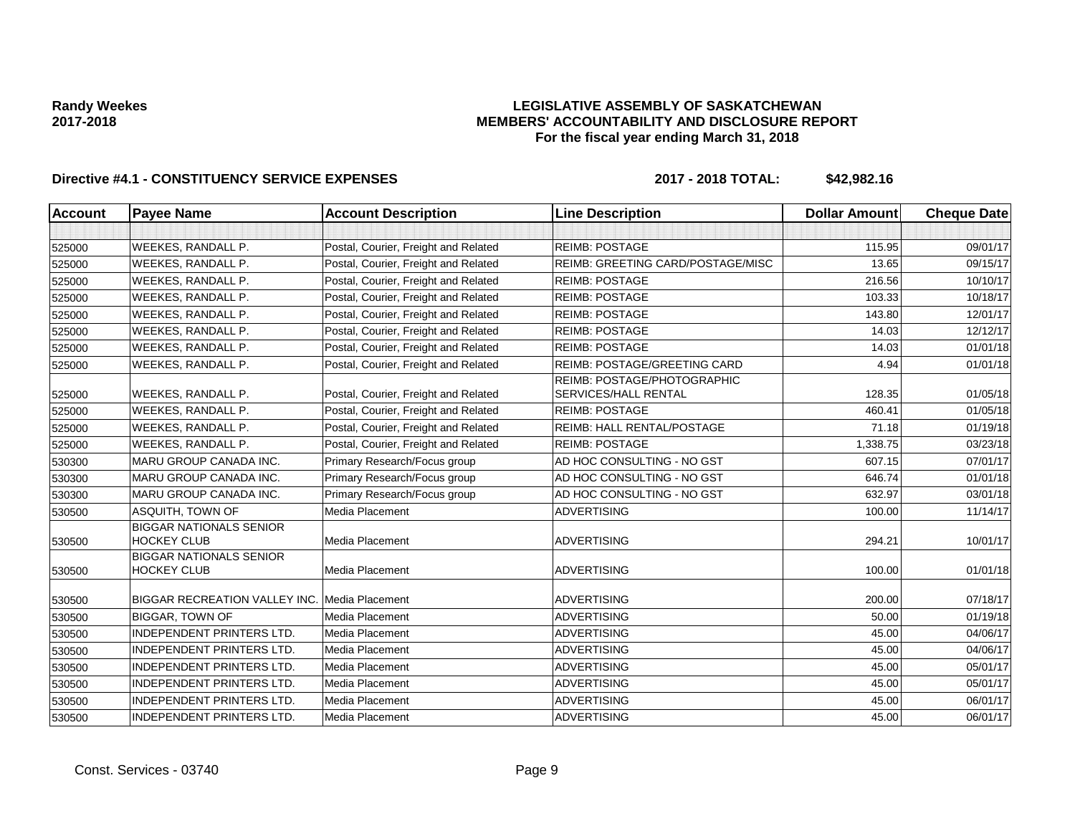## **LEGISLATIVE ASSEMBLY OF SASKATCHEWAN MEMBERS' ACCOUNTABILITY AND DISCLOSURE REPORT For the fiscal year ending March 31, 2018**

| <b>Account</b> | <b>Payee Name</b>                                    | <b>Account Description</b>           | <b>Line Description</b>                                    | <b>Dollar Amount</b> | <b>Cheque Date</b> |
|----------------|------------------------------------------------------|--------------------------------------|------------------------------------------------------------|----------------------|--------------------|
|                |                                                      |                                      |                                                            |                      |                    |
| 525000         | WEEKES, RANDALL P.                                   | Postal, Courier, Freight and Related | <b>REIMB: POSTAGE</b>                                      | 115.95               | 09/01/17           |
| 525000         | WEEKES, RANDALL P.                                   | Postal, Courier, Freight and Related | REIMB: GREETING CARD/POSTAGE/MISC                          | 13.65                | 09/15/17           |
| 525000         | <b>WEEKES, RANDALL P.</b>                            | Postal, Courier, Freight and Related | <b>REIMB: POSTAGE</b>                                      | 216.56               | 10/10/17           |
| 525000         | WEEKES, RANDALL P.                                   | Postal, Courier, Freight and Related | <b>REIMB: POSTAGE</b>                                      | 103.33               | 10/18/17           |
| 525000         | WEEKES, RANDALL P.                                   | Postal, Courier, Freight and Related | <b>REIMB: POSTAGE</b>                                      | 143.80               | 12/01/17           |
| 525000         | <b>WEEKES, RANDALL P.</b>                            | Postal, Courier, Freight and Related | <b>REIMB: POSTAGE</b>                                      | 14.03                | 12/12/17           |
| 525000         | WEEKES, RANDALL P.                                   | Postal, Courier, Freight and Related | <b>REIMB: POSTAGE</b>                                      | 14.03                | 01/01/18           |
| 525000         | WEEKES, RANDALL P.                                   | Postal, Courier, Freight and Related | <b>REIMB: POSTAGE/GREETING CARD</b>                        | 4.94                 | 01/01/18           |
| 525000         | WEEKES, RANDALL P.                                   | Postal, Courier, Freight and Related | REIMB: POSTAGE/PHOTOGRAPHIC<br><b>SERVICES/HALL RENTAL</b> | 128.35               | 01/05/18           |
| 525000         | WEEKES, RANDALL P.                                   | Postal, Courier, Freight and Related | <b>REIMB: POSTAGE</b>                                      | 460.41               | 01/05/18           |
| 525000         | WEEKES, RANDALL P.                                   | Postal, Courier, Freight and Related | REIMB: HALL RENTAL/POSTAGE                                 | 71.18                | 01/19/18           |
| 525000         | <b>WEEKES, RANDALL P.</b>                            | Postal, Courier, Freight and Related | <b>REIMB: POSTAGE</b>                                      | 1,338.75             | 03/23/18           |
| 530300         | <b>MARU GROUP CANADA INC.</b>                        | Primary Research/Focus group         | AD HOC CONSULTING - NO GST                                 | 607.15               | 07/01/17           |
| 530300         | <b>MARU GROUP CANADA INC.</b>                        | Primary Research/Focus group         | AD HOC CONSULTING - NO GST                                 | 646.74               | 01/01/18           |
| 530300         | MARU GROUP CANADA INC.                               | Primary Research/Focus group         | AD HOC CONSULTING - NO GST                                 | 632.97               | 03/01/18           |
| 530500         | ASQUITH, TOWN OF                                     | Media Placement                      | <b>ADVERTISING</b>                                         | 100.00               | 11/14/17           |
| 530500         | <b>BIGGAR NATIONALS SENIOR</b><br><b>HOCKEY CLUB</b> | Media Placement                      | <b>ADVERTISING</b>                                         | 294.21               | 10/01/17           |
| 530500         | <b>BIGGAR NATIONALS SENIOR</b><br><b>HOCKEY CLUB</b> | Media Placement                      | <b>ADVERTISING</b>                                         | 100.00               | 01/01/18           |
| 530500         | <b>BIGGAR RECREATION VALLEY INC.</b>                 | Media Placement                      | <b>ADVERTISING</b>                                         | 200.00               | 07/18/17           |
| 530500         | <b>BIGGAR, TOWN OF</b>                               | Media Placement                      | <b>ADVERTISING</b>                                         | 50.00                | 01/19/18           |
| 530500         | <b>INDEPENDENT PRINTERS LTD.</b>                     | Media Placement                      | <b>ADVERTISING</b>                                         | 45.00                | 04/06/17           |
| 530500         | <b>INDEPENDENT PRINTERS LTD.</b>                     | Media Placement                      | <b>ADVERTISING</b>                                         | 45.00                | 04/06/17           |
| 530500         | <b>INDEPENDENT PRINTERS LTD.</b>                     | Media Placement                      | <b>ADVERTISING</b>                                         | 45.00                | 05/01/17           |
| 530500         | INDEPENDENT PRINTERS LTD.                            | Media Placement                      | <b>ADVERTISING</b>                                         | 45.00                | 05/01/17           |
| 530500         | <b>INDEPENDENT PRINTERS LTD.</b>                     | Media Placement                      | <b>ADVERTISING</b>                                         | 45.00                | 06/01/17           |
| 530500         | <b>INDEPENDENT PRINTERS LTD.</b>                     | Media Placement                      | <b>ADVERTISING</b>                                         | 45.00                | 06/01/17           |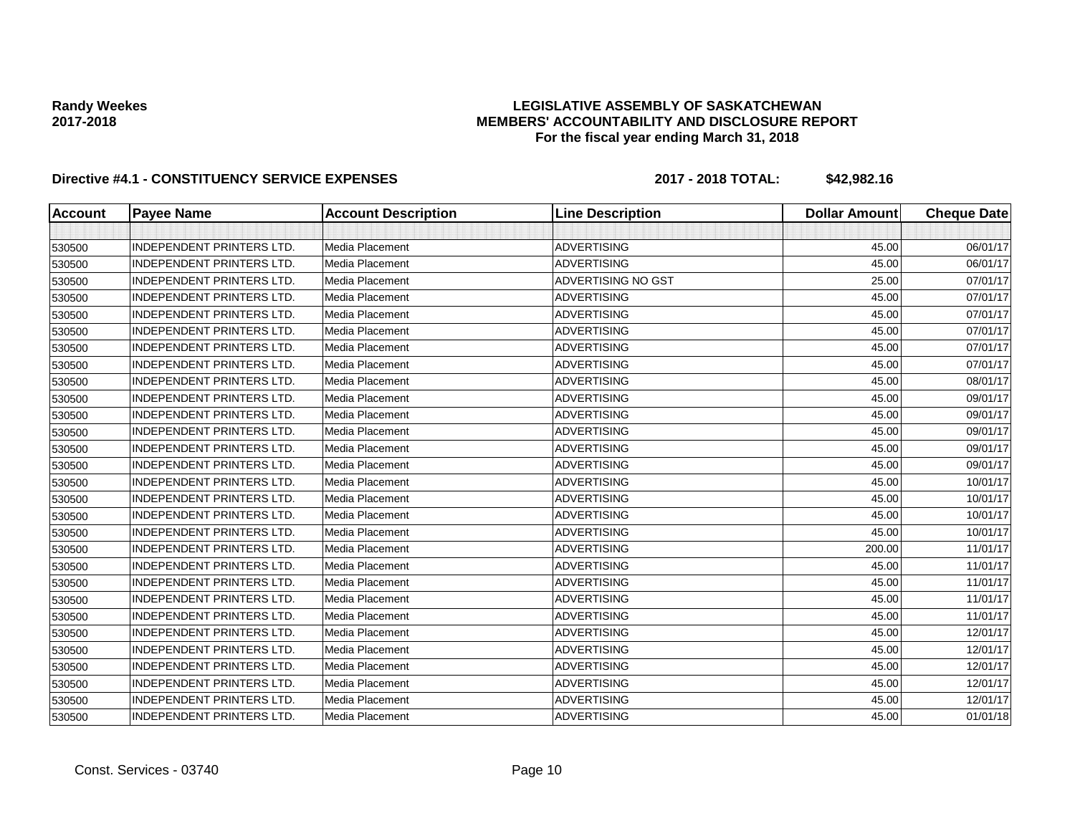## **LEGISLATIVE ASSEMBLY OF SASKATCHEWAN MEMBERS' ACCOUNTABILITY AND DISCLOSURE REPORT For the fiscal year ending March 31, 2018**

| <b>Account</b> | <b>Payee Name</b>                | <b>Account Description</b> | <b>Line Description</b> | <b>Dollar Amount</b> | <b>Cheque Date</b> |
|----------------|----------------------------------|----------------------------|-------------------------|----------------------|--------------------|
|                |                                  |                            |                         |                      |                    |
| 530500         | <b>INDEPENDENT PRINTERS LTD.</b> | <b>Media Placement</b>     | <b>ADVERTISING</b>      | 45.00                | 06/01/17           |
| 530500         | <b>INDEPENDENT PRINTERS LTD.</b> | Media Placement            | <b>ADVERTISING</b>      | 45.00                | 06/01/17           |
| 530500         | <b>INDEPENDENT PRINTERS LTD.</b> | Media Placement            | ADVERTISING NO GST      | 25.00                | 07/01/17           |
| 530500         | <b>INDEPENDENT PRINTERS LTD.</b> | Media Placement            | <b>ADVERTISING</b>      | 45.00                | 07/01/17           |
| 530500         | <b>INDEPENDENT PRINTERS LTD.</b> | Media Placement            | <b>ADVERTISING</b>      | 45.00                | 07/01/17           |
| 530500         | <b>INDEPENDENT PRINTERS LTD.</b> | Media Placement            | <b>ADVERTISING</b>      | 45.00                | 07/01/17           |
| 530500         | <b>INDEPENDENT PRINTERS LTD.</b> | Media Placement            | <b>ADVERTISING</b>      | 45.00                | 07/01/17           |
| 530500         | INDEPENDENT PRINTERS LTD.        | Media Placement            | <b>ADVERTISING</b>      | 45.00                | 07/01/17           |
| 530500         | <b>INDEPENDENT PRINTERS LTD.</b> | <b>Media Placement</b>     | <b>ADVERTISING</b>      | 45.00                | 08/01/17           |
| 530500         | <b>INDEPENDENT PRINTERS LTD.</b> | Media Placement            | <b>ADVERTISING</b>      | 45.00                | 09/01/17           |
| 530500         | <b>INDEPENDENT PRINTERS LTD.</b> | Media Placement            | <b>ADVERTISING</b>      | 45.00                | 09/01/17           |
| 530500         | <b>INDEPENDENT PRINTERS LTD.</b> | <b>Media Placement</b>     | <b>ADVERTISING</b>      | 45.00                | 09/01/17           |
| 530500         | <b>INDEPENDENT PRINTERS LTD.</b> | Media Placement            | <b>ADVERTISING</b>      | 45.00                | 09/01/17           |
| 530500         | <b>INDEPENDENT PRINTERS LTD.</b> | Media Placement            | <b>ADVERTISING</b>      | 45.00                | 09/01/17           |
| 530500         | <b>INDEPENDENT PRINTERS LTD.</b> | Media Placement            | <b>ADVERTISING</b>      | 45.00                | 10/01/17           |
| 530500         | <b>INDEPENDENT PRINTERS LTD.</b> | Media Placement            | <b>ADVERTISING</b>      | 45.00                | 10/01/17           |
| 530500         | <b>INDEPENDENT PRINTERS LTD.</b> | <b>Media Placement</b>     | <b>ADVERTISING</b>      | 45.00                | 10/01/17           |
| 530500         | <b>INDEPENDENT PRINTERS LTD.</b> | Media Placement            | <b>ADVERTISING</b>      | 45.00                | 10/01/17           |
| 530500         | <b>INDEPENDENT PRINTERS LTD.</b> | <b>Media Placement</b>     | <b>ADVERTISING</b>      | 200.00               | 11/01/17           |
| 530500         | <b>INDEPENDENT PRINTERS LTD.</b> | Media Placement            | <b>ADVERTISING</b>      | 45.00                | 11/01/17           |
| 530500         | <b>INDEPENDENT PRINTERS LTD.</b> | Media Placement            | <b>ADVERTISING</b>      | 45.00                | 11/01/17           |
| 530500         | <b>INDEPENDENT PRINTERS LTD.</b> | Media Placement            | <b>ADVERTISING</b>      | 45.00                | 11/01/17           |
| 530500         | <b>INDEPENDENT PRINTERS LTD.</b> | Media Placement            | <b>ADVERTISING</b>      | 45.00                | 11/01/17           |
| 530500         | <b>INDEPENDENT PRINTERS LTD.</b> | Media Placement            | <b>ADVERTISING</b>      | 45.00                | 12/01/17           |
| 530500         | <b>INDEPENDENT PRINTERS LTD.</b> | <b>Media Placement</b>     | <b>ADVERTISING</b>      | 45.00                | 12/01/17           |
| 530500         | <b>INDEPENDENT PRINTERS LTD.</b> | <b>Media Placement</b>     | <b>ADVERTISING</b>      | 45.00                | 12/01/17           |
| 530500         | <b>INDEPENDENT PRINTERS LTD.</b> | Media Placement            | <b>ADVERTISING</b>      | 45.00                | 12/01/17           |
| 530500         | <b>INDEPENDENT PRINTERS LTD.</b> | Media Placement            | <b>ADVERTISING</b>      | 45.00                | 12/01/17           |
| 530500         | <b>INDEPENDENT PRINTERS LTD.</b> | Media Placement            | <b>ADVERTISING</b>      | 45.00                | 01/01/18           |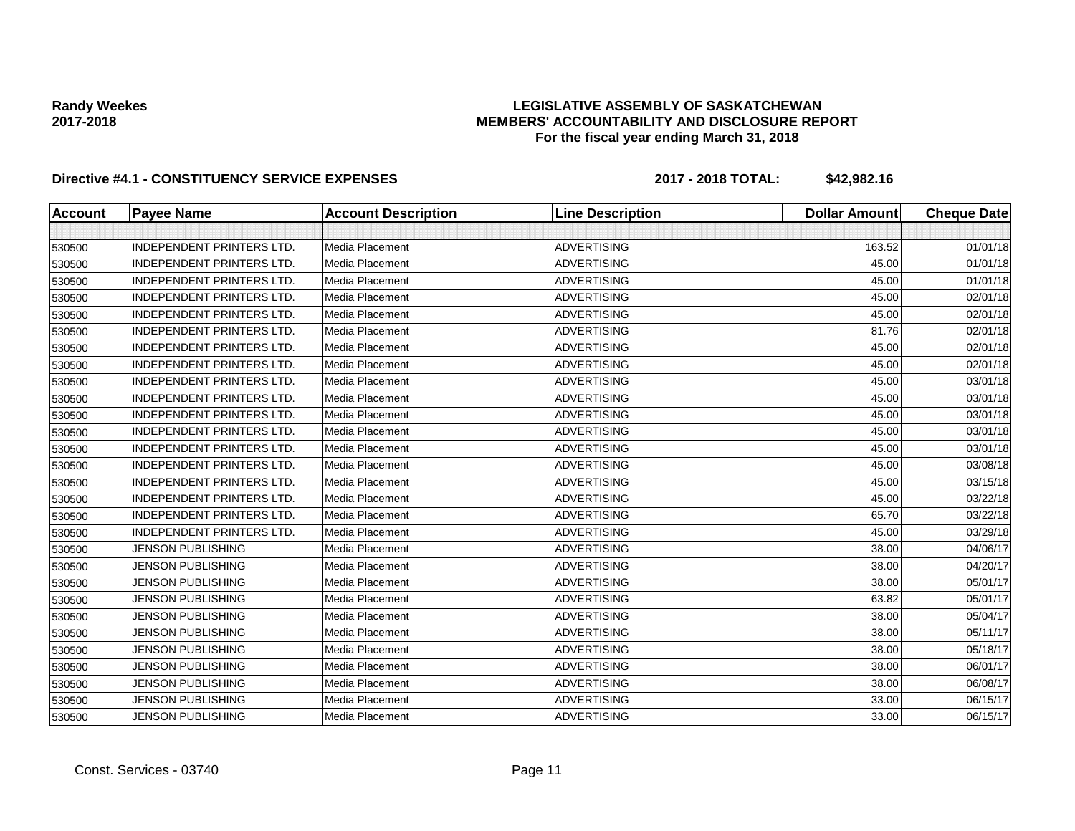## **LEGISLATIVE ASSEMBLY OF SASKATCHEWAN MEMBERS' ACCOUNTABILITY AND DISCLOSURE REPORT For the fiscal year ending March 31, 2018**

| <b>Account</b> | <b>Payee Name</b>                | <b>Account Description</b> | <b>Line Description</b> | <b>Dollar Amount</b> | <b>Cheque Date</b> |
|----------------|----------------------------------|----------------------------|-------------------------|----------------------|--------------------|
|                |                                  |                            |                         |                      |                    |
| 530500         | <b>INDEPENDENT PRINTERS LTD.</b> | <b>Media Placement</b>     | <b>ADVERTISING</b>      | 163.52               | 01/01/18           |
| 530500         | <b>INDEPENDENT PRINTERS LTD.</b> | <b>Media Placement</b>     | <b>ADVERTISING</b>      | 45.00                | 01/01/18           |
| 530500         | <b>INDEPENDENT PRINTERS LTD.</b> | <b>Media Placement</b>     | <b>ADVERTISING</b>      | 45.00                | 01/01/18           |
| 530500         | <b>INDEPENDENT PRINTERS LTD.</b> | Media Placement            | <b>ADVERTISING</b>      | 45.00                | 02/01/18           |
| 530500         | <b>INDEPENDENT PRINTERS LTD.</b> | <b>Media Placement</b>     | <b>ADVERTISING</b>      | 45.00                | 02/01/18           |
| 530500         | <b>INDEPENDENT PRINTERS LTD.</b> | Media Placement            | <b>ADVERTISING</b>      | 81.76                | 02/01/18           |
| 530500         | <b>INDEPENDENT PRINTERS LTD.</b> | Media Placement            | <b>ADVERTISING</b>      | 45.00                | 02/01/18           |
| 530500         | <b>INDEPENDENT PRINTERS LTD.</b> | Media Placement            | <b>ADVERTISING</b>      | 45.00                | 02/01/18           |
| 530500         | <b>INDEPENDENT PRINTERS LTD.</b> | Media Placement            | <b>ADVERTISING</b>      | 45.00                | 03/01/18           |
| 530500         | <b>INDEPENDENT PRINTERS LTD.</b> | <b>Media Placement</b>     | <b>ADVERTISING</b>      | 45.00                | 03/01/18           |
| 530500         | <b>INDEPENDENT PRINTERS LTD.</b> | <b>Media Placement</b>     | <b>ADVERTISING</b>      | 45.00                | 03/01/18           |
| 530500         | <b>INDEPENDENT PRINTERS LTD.</b> | Media Placement            | <b>ADVERTISING</b>      | 45.00                | 03/01/18           |
| 530500         | <b>INDEPENDENT PRINTERS LTD.</b> | <b>Media Placement</b>     | <b>ADVERTISING</b>      | 45.00                | 03/01/18           |
| 530500         | <b>INDEPENDENT PRINTERS LTD.</b> | Media Placement            | <b>ADVERTISING</b>      | 45.00                | 03/08/18           |
| 530500         | <b>INDEPENDENT PRINTERS LTD.</b> | Media Placement            | <b>ADVERTISING</b>      | 45.00                | 03/15/18           |
| 530500         | <b>INDEPENDENT PRINTERS LTD.</b> | Media Placement            | <b>ADVERTISING</b>      | 45.00                | 03/22/18           |
| 530500         | <b>INDEPENDENT PRINTERS LTD.</b> | Media Placement            | <b>ADVERTISING</b>      | 65.70                | 03/22/18           |
| 530500         | <b>INDEPENDENT PRINTERS LTD.</b> | Media Placement            | <b>ADVERTISING</b>      | 45.00                | 03/29/18           |
| 530500         | <b>JENSON PUBLISHING</b>         | Media Placement            | <b>ADVERTISING</b>      | 38.00                | 04/06/17           |
| 530500         | <b>JENSON PUBLISHING</b>         | Media Placement            | <b>ADVERTISING</b>      | 38.00                | 04/20/17           |
| 530500         | <b>JENSON PUBLISHING</b>         | Media Placement            | <b>ADVERTISING</b>      | 38.00                | 05/01/17           |
| 530500         | <b>JENSON PUBLISHING</b>         | <b>Media Placement</b>     | <b>ADVERTISING</b>      | 63.82                | 05/01/17           |
| 530500         | <b>JENSON PUBLISHING</b>         | Media Placement            | <b>ADVERTISING</b>      | 38.00                | 05/04/17           |
| 530500         | <b>JENSON PUBLISHING</b>         | Media Placement            | <b>ADVERTISING</b>      | 38.00                | 05/11/17           |
| 530500         | <b>JENSON PUBLISHING</b>         | <b>Media Placement</b>     | <b>ADVERTISING</b>      | 38.00                | 05/18/17           |
| 530500         | <b>JENSON PUBLISHING</b>         | Media Placement            | <b>ADVERTISING</b>      | 38.00                | 06/01/17           |
| 530500         | <b>JENSON PUBLISHING</b>         | Media Placement            | <b>ADVERTISING</b>      | 38.00                | 06/08/17           |
| 530500         | <b>JENSON PUBLISHING</b>         | Media Placement            | <b>ADVERTISING</b>      | 33.00                | 06/15/17           |
| 530500         | <b>JENSON PUBLISHING</b>         | Media Placement            | <b>ADVERTISING</b>      | 33.00                | 06/15/17           |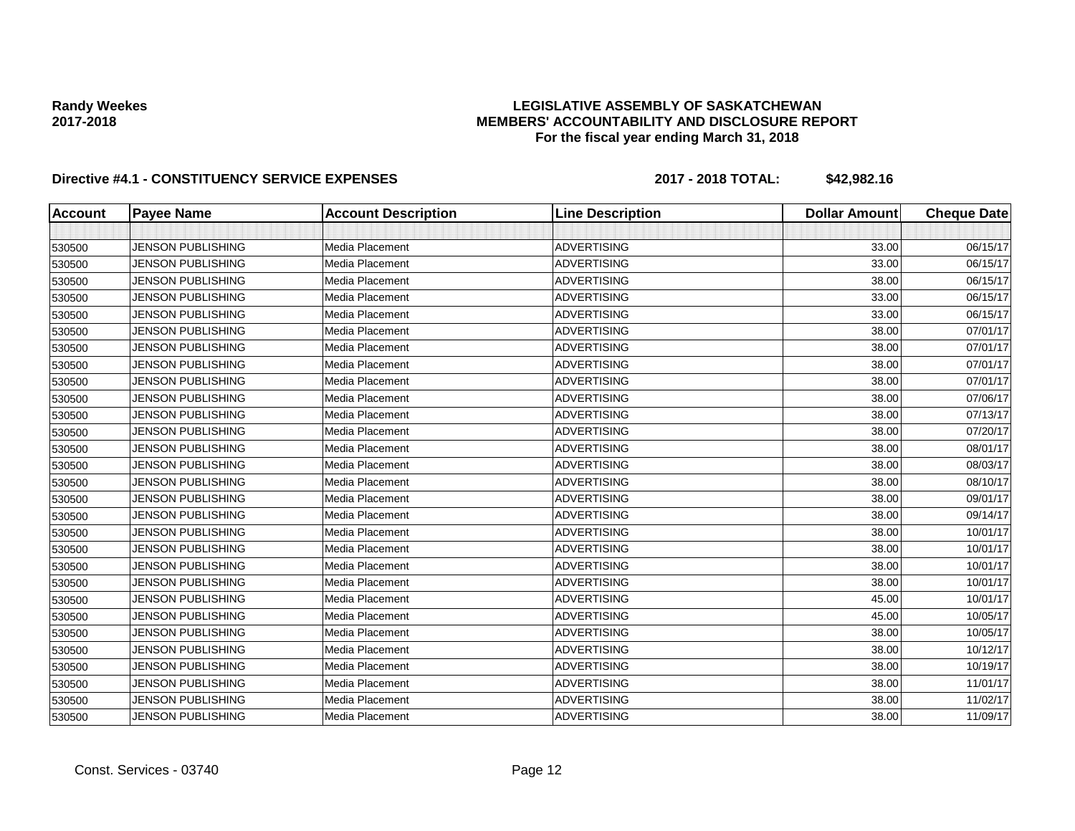## **LEGISLATIVE ASSEMBLY OF SASKATCHEWAN MEMBERS' ACCOUNTABILITY AND DISCLOSURE REPORT For the fiscal year ending March 31, 2018**

| <b>Account</b> | <b>Payee Name</b>        | <b>Account Description</b> | <b>Line Description</b> | <b>Dollar Amount</b> | <b>Cheque Date</b> |
|----------------|--------------------------|----------------------------|-------------------------|----------------------|--------------------|
|                |                          |                            |                         |                      |                    |
| 530500         | <b>JENSON PUBLISHING</b> | Media Placement            | <b>ADVERTISING</b>      | 33.00                | 06/15/17           |
| 530500         | <b>JENSON PUBLISHING</b> | Media Placement            | <b>ADVERTISING</b>      | 33.00                | 06/15/17           |
| 530500         | <b>JENSON PUBLISHING</b> | Media Placement            | <b>ADVERTISING</b>      | 38.00                | 06/15/17           |
| 530500         | <b>JENSON PUBLISHING</b> | Media Placement            | <b>ADVERTISING</b>      | 33.00                | 06/15/17           |
| 530500         | <b>JENSON PUBLISHING</b> | Media Placement            | <b>ADVERTISING</b>      | 33.00                | 06/15/17           |
| 530500         | <b>JENSON PUBLISHING</b> | Media Placement            | <b>ADVERTISING</b>      | 38.00                | 07/01/17           |
| 530500         | <b>JENSON PUBLISHING</b> | Media Placement            | <b>ADVERTISING</b>      | 38.00                | 07/01/17           |
| 530500         | <b>JENSON PUBLISHING</b> | Media Placement            | <b>ADVERTISING</b>      | 38.00                | 07/01/17           |
| 530500         | <b>JENSON PUBLISHING</b> | Media Placement            | <b>ADVERTISING</b>      | 38.00                | 07/01/17           |
| 530500         | <b>JENSON PUBLISHING</b> | Media Placement            | <b>ADVERTISING</b>      | 38.00                | 07/06/17           |
| 530500         | <b>JENSON PUBLISHING</b> | Media Placement            | <b>ADVERTISING</b>      | 38.00                | 07/13/17           |
| 530500         | <b>JENSON PUBLISHING</b> | Media Placement            | <b>ADVERTISING</b>      | 38.00                | 07/20/17           |
| 530500         | <b>JENSON PUBLISHING</b> | Media Placement            | <b>ADVERTISING</b>      | 38.00                | 08/01/17           |
| 530500         | <b>JENSON PUBLISHING</b> | Media Placement            | <b>ADVERTISING</b>      | 38.00                | 08/03/17           |
| 530500         | <b>JENSON PUBLISHING</b> | Media Placement            | <b>ADVERTISING</b>      | 38.00                | 08/10/17           |
| 530500         | <b>JENSON PUBLISHING</b> | Media Placement            | <b>ADVERTISING</b>      | 38.00                | 09/01/17           |
| 530500         | <b>JENSON PUBLISHING</b> | Media Placement            | <b>ADVERTISING</b>      | 38.00                | 09/14/17           |
| 530500         | <b>JENSON PUBLISHING</b> | Media Placement            | <b>ADVERTISING</b>      | 38.00                | 10/01/17           |
| 530500         | <b>JENSON PUBLISHING</b> | Media Placement            | <b>ADVERTISING</b>      | 38.00                | 10/01/17           |
| 530500         | <b>JENSON PUBLISHING</b> | Media Placement            | <b>ADVERTISING</b>      | 38.00                | 10/01/17           |
| 530500         | <b>JENSON PUBLISHING</b> | Media Placement            | <b>ADVERTISING</b>      | 38.00                | 10/01/17           |
| 530500         | <b>JENSON PUBLISHING</b> | Media Placement            | <b>ADVERTISING</b>      | 45.00                | 10/01/17           |
| 530500         | <b>JENSON PUBLISHING</b> | Media Placement            | <b>ADVERTISING</b>      | 45.00                | 10/05/17           |
| 530500         | <b>JENSON PUBLISHING</b> | Media Placement            | <b>ADVERTISING</b>      | 38.00                | 10/05/17           |
| 530500         | <b>JENSON PUBLISHING</b> | Media Placement            | <b>ADVERTISING</b>      | 38.00                | 10/12/17           |
| 530500         | <b>JENSON PUBLISHING</b> | Media Placement            | <b>ADVERTISING</b>      | 38.00                | 10/19/17           |
| 530500         | <b>JENSON PUBLISHING</b> | Media Placement            | <b>ADVERTISING</b>      | 38.00                | 11/01/17           |
| 530500         | <b>JENSON PUBLISHING</b> | Media Placement            | <b>ADVERTISING</b>      | 38.00                | 11/02/17           |
| 530500         | <b>JENSON PUBLISHING</b> | Media Placement            | <b>ADVERTISING</b>      | 38.00                | 11/09/17           |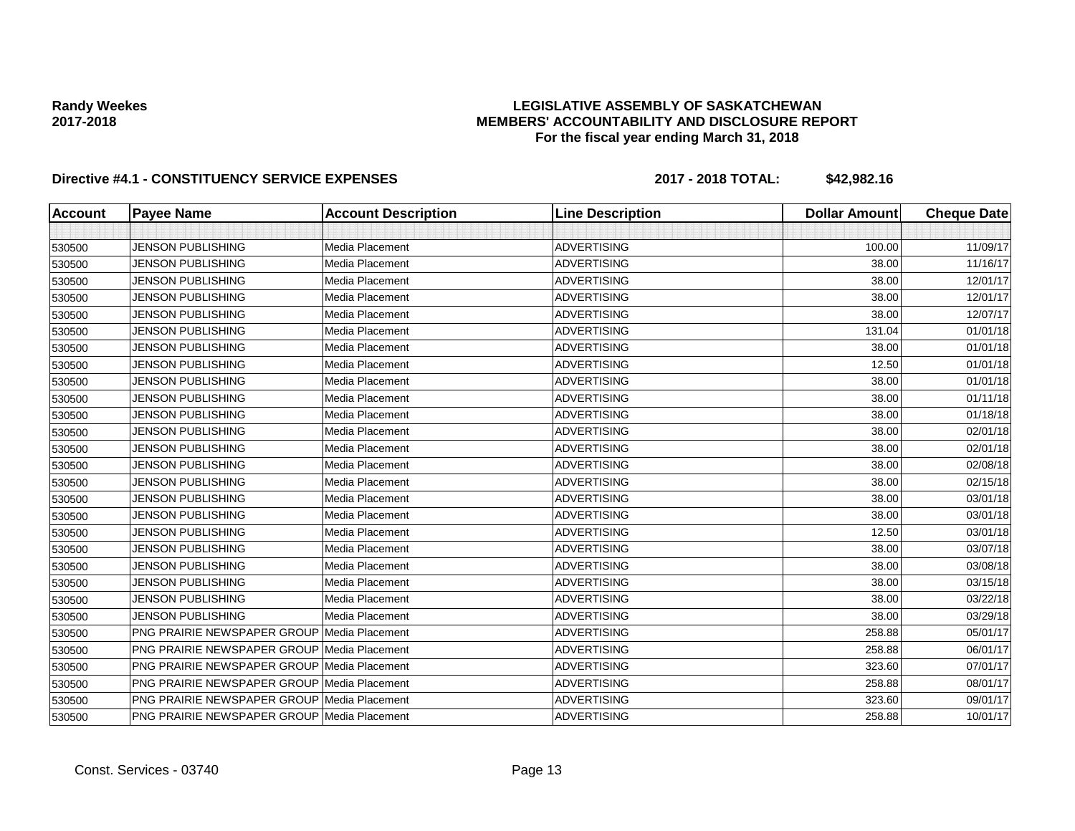## **LEGISLATIVE ASSEMBLY OF SASKATCHEWAN MEMBERS' ACCOUNTABILITY AND DISCLOSURE REPORT For the fiscal year ending March 31, 2018**

| <b>Account</b> | <b>Payee Name</b>                                  | <b>Account Description</b> | <b>Line Description</b> | <b>Dollar Amount</b> | <b>Cheque Date</b> |
|----------------|----------------------------------------------------|----------------------------|-------------------------|----------------------|--------------------|
|                |                                                    |                            |                         |                      |                    |
| 530500         | <b>JENSON PUBLISHING</b>                           | Media Placement            | <b>ADVERTISING</b>      | 100.00               | 11/09/17           |
| 530500         | <b>JENSON PUBLISHING</b>                           | Media Placement            | <b>ADVERTISING</b>      | 38.00                | 11/16/17           |
| 530500         | <b>JENSON PUBLISHING</b>                           | Media Placement            | <b>ADVERTISING</b>      | 38.00                | 12/01/17           |
| 530500         | <b>JENSON PUBLISHING</b>                           | Media Placement            | <b>ADVERTISING</b>      | 38.00                | 12/01/17           |
| 530500         | <b>JENSON PUBLISHING</b>                           | Media Placement            | <b>ADVERTISING</b>      | 38.00                | 12/07/17           |
| 530500         | <b>JENSON PUBLISHING</b>                           | Media Placement            | <b>ADVERTISING</b>      | 131.04               | 01/01/18           |
| 530500         | <b>JENSON PUBLISHING</b>                           | Media Placement            | <b>ADVERTISING</b>      | 38.00                | 01/01/18           |
| 530500         | <b>JENSON PUBLISHING</b>                           | Media Placement            | <b>ADVERTISING</b>      | 12.50                | 01/01/18           |
| 530500         | <b>JENSON PUBLISHING</b>                           | Media Placement            | <b>ADVERTISING</b>      | 38.00                | 01/01/18           |
| 530500         | <b>JENSON PUBLISHING</b>                           | Media Placement            | <b>ADVERTISING</b>      | 38.00                | 01/11/18           |
| 530500         | <b>JENSON PUBLISHING</b>                           | Media Placement            | <b>ADVERTISING</b>      | 38.00                | 01/18/18           |
| 530500         | <b>JENSON PUBLISHING</b>                           | Media Placement            | <b>ADVERTISING</b>      | 38.00                | 02/01/18           |
| 530500         | <b>JENSON PUBLISHING</b>                           | Media Placement            | <b>ADVERTISING</b>      | 38.00                | 02/01/18           |
| 530500         | <b>JENSON PUBLISHING</b>                           | Media Placement            | <b>ADVERTISING</b>      | 38.00                | 02/08/18           |
| 530500         | <b>JENSON PUBLISHING</b>                           | Media Placement            | <b>ADVERTISING</b>      | 38.00                | 02/15/18           |
| 530500         | <b>JENSON PUBLISHING</b>                           | Media Placement            | <b>ADVERTISING</b>      | 38.00                | 03/01/18           |
| 530500         | <b>JENSON PUBLISHING</b>                           | Media Placement            | <b>ADVERTISING</b>      | 38.00                | 03/01/18           |
| 530500         | <b>JENSON PUBLISHING</b>                           | Media Placement            | <b>ADVERTISING</b>      | 12.50                | 03/01/18           |
| 530500         | <b>JENSON PUBLISHING</b>                           | Media Placement            | <b>ADVERTISING</b>      | 38.00                | 03/07/18           |
| 530500         | <b>JENSON PUBLISHING</b>                           | Media Placement            | <b>ADVERTISING</b>      | 38.00                | 03/08/18           |
| 530500         | <b>JENSON PUBLISHING</b>                           | Media Placement            | <b>ADVERTISING</b>      | 38.00                | 03/15/18           |
| 530500         | <b>JENSON PUBLISHING</b>                           | Media Placement            | <b>ADVERTISING</b>      | 38.00                | 03/22/18           |
| 530500         | <b>JENSON PUBLISHING</b>                           | Media Placement            | <b>ADVERTISING</b>      | 38.00                | 03/29/18           |
| 530500         | <b>PNG PRAIRIE NEWSPAPER GROUP Media Placement</b> |                            | <b>ADVERTISING</b>      | 258.88               | 05/01/17           |
| 530500         | <b>PNG PRAIRIE NEWSPAPER GROUP Media Placement</b> |                            | <b>ADVERTISING</b>      | 258.88               | 06/01/17           |
| 530500         | PNG PRAIRIE NEWSPAPER GROUP Media Placement        |                            | <b>ADVERTISING</b>      | 323.60               | 07/01/17           |
| 530500         | <b>PNG PRAIRIE NEWSPAPER GROUP Media Placement</b> |                            | <b>ADVERTISING</b>      | 258.88               | 08/01/17           |
| 530500         | <b>PNG PRAIRIE NEWSPAPER GROUP Media Placement</b> |                            | <b>ADVERTISING</b>      | 323.60               | 09/01/17           |
| 530500         | PNG PRAIRIE NEWSPAPER GROUP Media Placement        |                            | <b>ADVERTISING</b>      | 258.88               | 10/01/17           |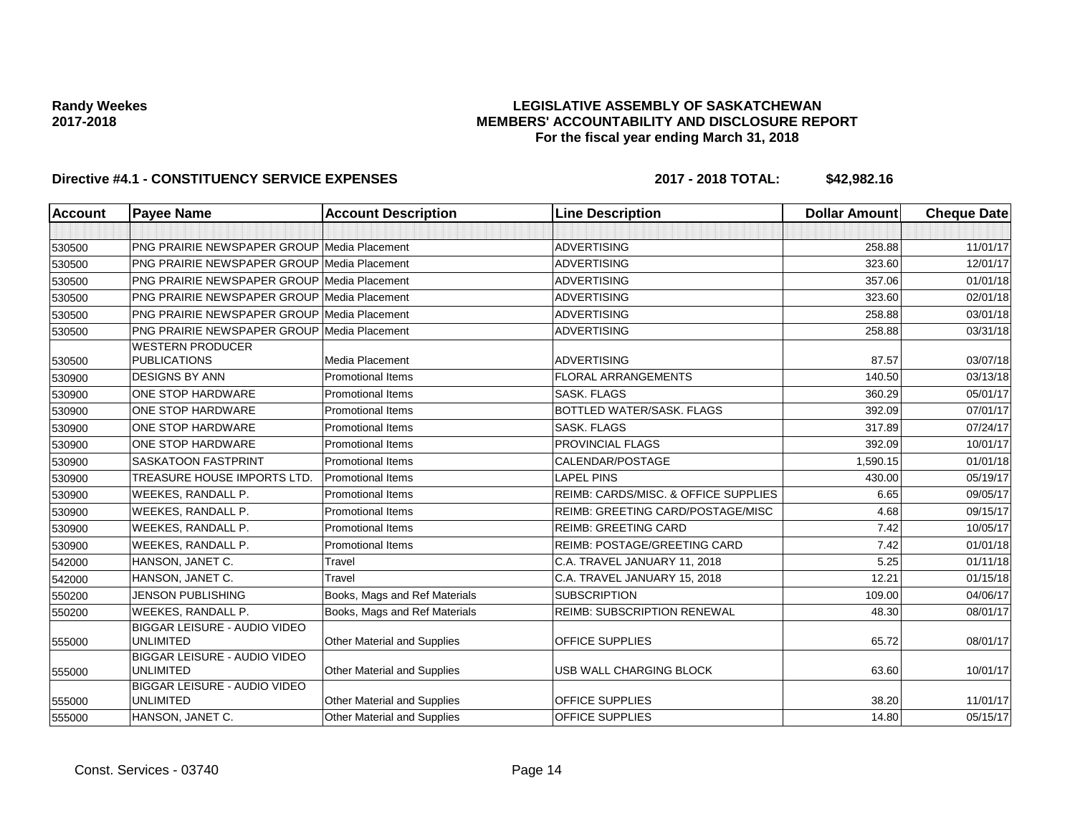## **LEGISLATIVE ASSEMBLY OF SASKATCHEWAN MEMBERS' ACCOUNTABILITY AND DISCLOSURE REPORT For the fiscal year ending March 31, 2018**

| <b>Account</b>   | <b>Payee Name</b>                                       | <b>Account Description</b>                           | <b>Line Description</b>              | <b>Dollar Amount</b> | <b>Cheque Date</b> |
|------------------|---------------------------------------------------------|------------------------------------------------------|--------------------------------------|----------------------|--------------------|
|                  |                                                         |                                                      |                                      |                      |                    |
| 530500           | <b>PNG PRAIRIE NEWSPAPER GROUP Media Placement</b>      |                                                      | <b>ADVERTISING</b>                   | 258.88               | 11/01/17           |
| 530500           | <b>PNG PRAIRIE NEWSPAPER GROUP Media Placement</b>      |                                                      | <b>ADVERTISING</b>                   | 323.60               | 12/01/17           |
| 530500           | <b>PNG PRAIRIE NEWSPAPER GROUP Media Placement</b>      |                                                      | <b>ADVERTISING</b>                   | 357.06               | 01/01/18           |
| 530500           | <b>PNG PRAIRIE NEWSPAPER GROUP Media Placement</b>      |                                                      | <b>ADVERTISING</b>                   | 323.60               | 02/01/18           |
| 530500           | <b>PNG PRAIRIE NEWSPAPER GROUP Media Placement</b>      |                                                      | <b>ADVERTISING</b>                   | 258.88               | 03/01/18           |
| 530500           | PNG PRAIRIE NEWSPAPER GROUP Media Placement             |                                                      | <b>ADVERTISING</b>                   | 258.88               | 03/31/18           |
|                  | <b>WESTERN PRODUCER</b><br><b>PUBLICATIONS</b>          | Media Placement                                      | <b>ADVERTISING</b>                   | 87.57                | 03/07/18           |
| 530500<br>530900 | <b>DESIGNS BY ANN</b>                                   | <b>Promotional Items</b>                             | <b>FLORAL ARRANGEMENTS</b>           | 140.50               | 03/13/18           |
|                  | <b>ONE STOP HARDWARE</b>                                | <b>Promotional Items</b>                             | <b>SASK, FLAGS</b>                   | 360.29               | 05/01/17           |
| 530900           | <b>ONE STOP HARDWARE</b>                                | <b>Promotional Items</b>                             | BOTTLED WATER/SASK, FLAGS            | 392.09               | 07/01/17           |
| 530900           | <b>ONE STOP HARDWARE</b>                                | <b>Promotional Items</b>                             | <b>SASK, FLAGS</b>                   | 317.89               | 07/24/17           |
| 530900           | <b>ONE STOP HARDWARE</b>                                | <b>Promotional Items</b>                             | PROVINCIAL FLAGS                     | 392.09               | 10/01/17           |
| 530900           | <b>SASKATOON FASTPRINT</b>                              | <b>Promotional Items</b>                             | CALENDAR/POSTAGE                     | 1,590.15             | 01/01/18           |
| 530900           | TREASURE HOUSE IMPORTS LTD.                             | <b>Promotional Items</b>                             | <b>LAPEL PINS</b>                    | 430.00               | 05/19/17           |
| 530900           | WEEKES, RANDALL P.                                      | <b>Promotional Items</b>                             | REIMB: CARDS/MISC, & OFFICE SUPPLIES | 6.65                 | 09/05/17           |
| 530900           |                                                         |                                                      | REIMB: GREETING CARD/POSTAGE/MISC    | 4.68                 | 09/15/17           |
| 530900           | WEEKES, RANDALL P.                                      | <b>Promotional Items</b><br><b>Promotional Items</b> | <b>REIMB: GREETING CARD</b>          | 7.42                 | 10/05/17           |
| 530900           | <b>WEEKES, RANDALL P.</b>                               |                                                      |                                      |                      |                    |
| 530900           | WEEKES, RANDALL P.                                      | <b>Promotional Items</b>                             | <b>REIMB: POSTAGE/GREETING CARD</b>  | 7.42                 | 01/01/18           |
| 542000           | HANSON, JANET C.                                        | Travel                                               | C.A. TRAVEL JANUARY 11, 2018         | 5.25                 | 01/11/18           |
| 542000           | HANSON, JANET C.                                        | Travel                                               | C.A. TRAVEL JANUARY 15, 2018         | 12.21                | 01/15/18           |
| 550200           | <b>JENSON PUBLISHING</b>                                | Books, Mags and Ref Materials                        | <b>SUBSCRIPTION</b>                  | 109.00               | 04/06/17           |
| 550200           | WEEKES, RANDALL P.                                      | Books, Mags and Ref Materials                        | <b>REIMB: SUBSCRIPTION RENEWAL</b>   | 48.30                | 08/01/17           |
| 555000           | BIGGAR LEISURE - AUDIO VIDEO<br><b>UNLIMITED</b>        | Other Material and Supplies                          | OFFICE SUPPLIES                      | 65.72                | 08/01/17           |
| 555000           | BIGGAR LEISURE - AUDIO VIDEO<br><b>UNLIMITED</b>        | Other Material and Supplies                          | USB WALL CHARGING BLOCK              | 63.60                | 10/01/17           |
| 555000           | <b>BIGGAR LEISURE - AUDIO VIDEO</b><br><b>UNLIMITED</b> | Other Material and Supplies                          | <b>OFFICE SUPPLIES</b>               | 38.20                | 11/01/17           |
| 555000           | HANSON, JANET C.                                        | <b>Other Material and Supplies</b>                   | <b>OFFICE SUPPLIES</b>               | 14.80                | 05/15/17           |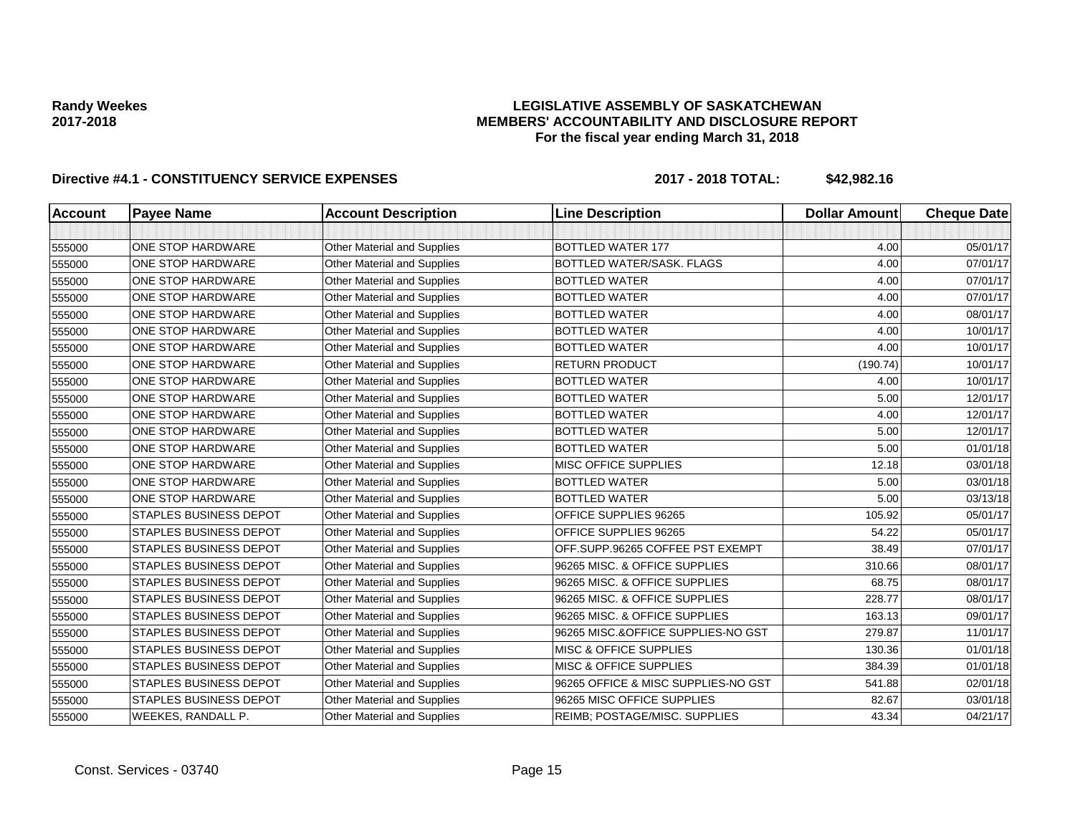## **LEGISLATIVE ASSEMBLY OF SASKATCHEWAN MEMBERS' ACCOUNTABILITY AND DISCLOSURE REPORT For the fiscal year ending March 31, 2018**

| <b>Account</b> | <b>Payee Name</b>             | <b>Account Description</b>         | <b>Line Description</b>             | <b>Dollar Amount</b> | <b>Cheque Date</b> |
|----------------|-------------------------------|------------------------------------|-------------------------------------|----------------------|--------------------|
|                |                               |                                    |                                     |                      |                    |
| 555000         | ONE STOP HARDWARE             | Other Material and Supplies        | <b>BOTTLED WATER 177</b>            | 4.00                 | 05/01/17           |
| 555000         | ONE STOP HARDWARE             | Other Material and Supplies        | BOTTLED WATER/SASK. FLAGS           | 4.00                 | 07/01/17           |
| 555000         | ONE STOP HARDWARE             | Other Material and Supplies        | <b>BOTTLED WATER</b>                | 4.00                 | 07/01/17           |
| 555000         | ONE STOP HARDWARE             | Other Material and Supplies        | <b>BOTTLED WATER</b>                | 4.00                 | 07/01/17           |
| 555000         | ONE STOP HARDWARE             | Other Material and Supplies        | <b>BOTTLED WATER</b>                | 4.00                 | 08/01/17           |
| 555000         | ONE STOP HARDWARE             | <b>Other Material and Supplies</b> | <b>BOTTLED WATER</b>                | 4.00                 | 10/01/17           |
| 555000         | ONE STOP HARDWARE             | <b>Other Material and Supplies</b> | <b>BOTTLED WATER</b>                | 4.00                 | 10/01/17           |
| 555000         | ONE STOP HARDWARE             | Other Material and Supplies        | <b>RETURN PRODUCT</b>               | (190.74)             | 10/01/17           |
| 555000         | ONE STOP HARDWARE             | <b>Other Material and Supplies</b> | <b>BOTTLED WATER</b>                | 4.00                 | 10/01/17           |
| 555000         | ONE STOP HARDWARE             | Other Material and Supplies        | BOTTLED WATER                       | 5.00                 | 12/01/17           |
| 555000         | ONE STOP HARDWARE             | Other Material and Supplies        | <b>BOTTLED WATER</b>                | 4.00                 | 12/01/17           |
| 555000         | ONE STOP HARDWARE             | <b>Other Material and Supplies</b> | <b>BOTTLED WATER</b>                | 5.00                 | 12/01/17           |
| 555000         | ONE STOP HARDWARE             | Other Material and Supplies        | <b>BOTTLED WATER</b>                | 5.00                 | 01/01/18           |
| 555000         | ONE STOP HARDWARE             | Other Material and Supplies        | <b>MISC OFFICE SUPPLIES</b>         | 12.18                | 03/01/18           |
| 555000         | ONE STOP HARDWARE             | Other Material and Supplies        | <b>BOTTLED WATER</b>                | 5.00                 | 03/01/18           |
| 555000         | ONE STOP HARDWARE             | Other Material and Supplies        | <b>BOTTLED WATER</b>                | 5.00                 | 03/13/18           |
| 555000         | <b>STAPLES BUSINESS DEPOT</b> | Other Material and Supplies        | OFFICE SUPPLIES 96265               | 105.92               | 05/01/17           |
| 555000         | <b>STAPLES BUSINESS DEPOT</b> | Other Material and Supplies        | OFFICE SUPPLIES 96265               | 54.22                | 05/01/17           |
| 555000         | <b>STAPLES BUSINESS DEPOT</b> | Other Material and Supplies        | OFF.SUPP.96265 COFFEE PST EXEMPT    | 38.49                | 07/01/17           |
| 555000         | <b>STAPLES BUSINESS DEPOT</b> | Other Material and Supplies        | 96265 MISC. & OFFICE SUPPLIES       | 310.66               | 08/01/17           |
| 555000         | STAPLES BUSINESS DEPOT        | Other Material and Supplies        | 96265 MISC. & OFFICE SUPPLIES       | 68.75                | 08/01/17           |
| 555000         | STAPLES BUSINESS DEPOT        | <b>Other Material and Supplies</b> | 96265 MISC. & OFFICE SUPPLIES       | 228.77               | 08/01/17           |
| 555000         | <b>STAPLES BUSINESS DEPOT</b> | Other Material and Supplies        | 96265 MISC. & OFFICE SUPPLIES       | 163.13               | 09/01/17           |
| 555000         | <b>STAPLES BUSINESS DEPOT</b> | <b>Other Material and Supplies</b> | 96265 MISC.&OFFICE SUPPLIES-NO GST  | 279.87               | 11/01/17           |
| 555000         | STAPLES BUSINESS DEPOT        | Other Material and Supplies        | <b>MISC &amp; OFFICE SUPPLIES</b>   | 130.36               | 01/01/18           |
| 555000         | STAPLES BUSINESS DEPOT        | Other Material and Supplies        | <b>MISC &amp; OFFICE SUPPLIES</b>   | 384.39               | 01/01/18           |
| 555000         | STAPLES BUSINESS DEPOT        | Other Material and Supplies        | 96265 OFFICE & MISC SUPPLIES-NO GST | 541.88               | 02/01/18           |
| 555000         | <b>STAPLES BUSINESS DEPOT</b> | Other Material and Supplies        | 96265 MISC OFFICE SUPPLIES          | 82.67                | 03/01/18           |
| 555000         | WEEKES, RANDALL P.            | Other Material and Supplies        | REIMB; POSTAGE/MISC. SUPPLIES       | 43.34                | 04/21/17           |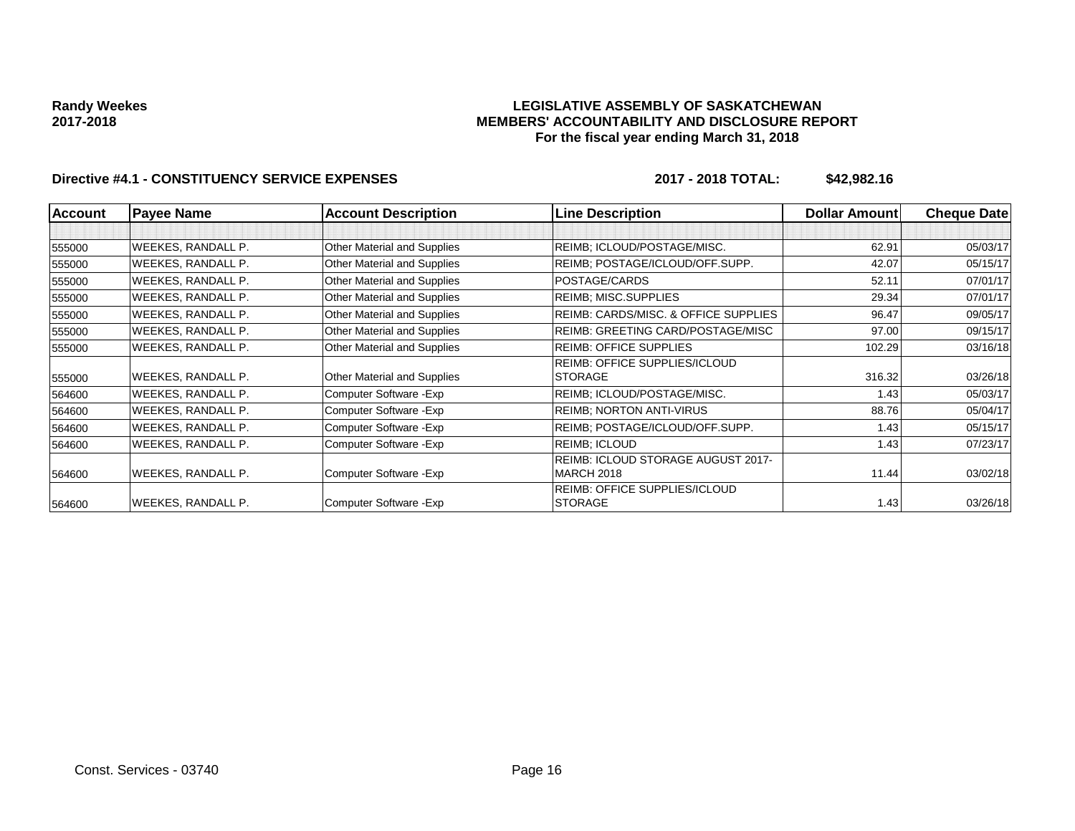### **LEGISLATIVE ASSEMBLY OF SASKATCHEWAN MEMBERS' ACCOUNTABILITY AND DISCLOSURE REPORT For the fiscal year ending March 31, 2018**

| <b>Account</b> | <b>Payee Name</b>         | <b>Account Description</b>  | <b>Line Description</b>                   | <b>Dollar Amount</b> | <b>Cheque Date</b> |
|----------------|---------------------------|-----------------------------|-------------------------------------------|----------------------|--------------------|
|                |                           |                             |                                           |                      |                    |
| 555000         | <b>WEEKES, RANDALL P.</b> | Other Material and Supplies | REIMB; ICLOUD/POSTAGE/MISC.               | 62.91                | 05/03/17           |
| 555000         | WEEKES, RANDALL P.        | Other Material and Supplies | REIMB; POSTAGE/ICLOUD/OFF.SUPP.           | 42.07                | 05/15/17           |
| 555000         | WEEKES, RANDALL P.        | Other Material and Supplies | POSTAGE/CARDS                             | 52.11                | 07/01/17           |
| 555000         | WEEKES, RANDALL P.        | Other Material and Supplies | <b>REIMB: MISC.SUPPLIES</b>               | 29.34                | 07/01/17           |
| 555000         | WEEKES, RANDALL P.        | Other Material and Supplies | REIMB: CARDS/MISC. & OFFICE SUPPLIES      | 96.47                | 09/05/17           |
| 555000         | WEEKES, RANDALL P.        | Other Material and Supplies | REIMB: GREETING CARD/POSTAGE/MISC         | 97.00                | 09/15/17           |
| 555000         | WEEKES, RANDALL P.        | Other Material and Supplies | <b>REIMB: OFFICE SUPPLIES</b>             | 102.29               | 03/16/18           |
|                |                           |                             | REIMB: OFFICE SUPPLIES/ICLOUD             |                      |                    |
| 555000         | WEEKES, RANDALL P.        | Other Material and Supplies | <b>STORAGE</b>                            | 316.32               | 03/26/18           |
| 564600         | WEEKES, RANDALL P.        | Computer Software - Exp     | REIMB; ICLOUD/POSTAGE/MISC.               | 1.43                 | 05/03/17           |
| 564600         | WEEKES, RANDALL P.        | Computer Software - Exp     | <b>REIMB: NORTON ANTI-VIRUS</b>           | 88.76                | 05/04/17           |
| 564600         | WEEKES, RANDALL P.        | Computer Software - Exp     | REIMB; POSTAGE/ICLOUD/OFF.SUPP.           | 1.43                 | 05/15/17           |
| 564600         | WEEKES, RANDALL P.        | Computer Software - Exp     | REIMB; ICLOUD                             | 1.43                 | 07/23/17           |
|                |                           |                             | <b>REIMB: ICLOUD STORAGE AUGUST 2017-</b> |                      |                    |
| 564600         | WEEKES, RANDALL P.        | Computer Software - Exp     | <b>MARCH 2018</b>                         | 11.44                | 03/02/18           |
|                |                           |                             | <b>REIMB: OFFICE SUPPLIES/ICLOUD</b>      |                      |                    |
| 564600         | <b>WEEKES, RANDALL P.</b> | Computer Software - Exp     | <b>STORAGE</b>                            | 1.43                 | 03/26/18           |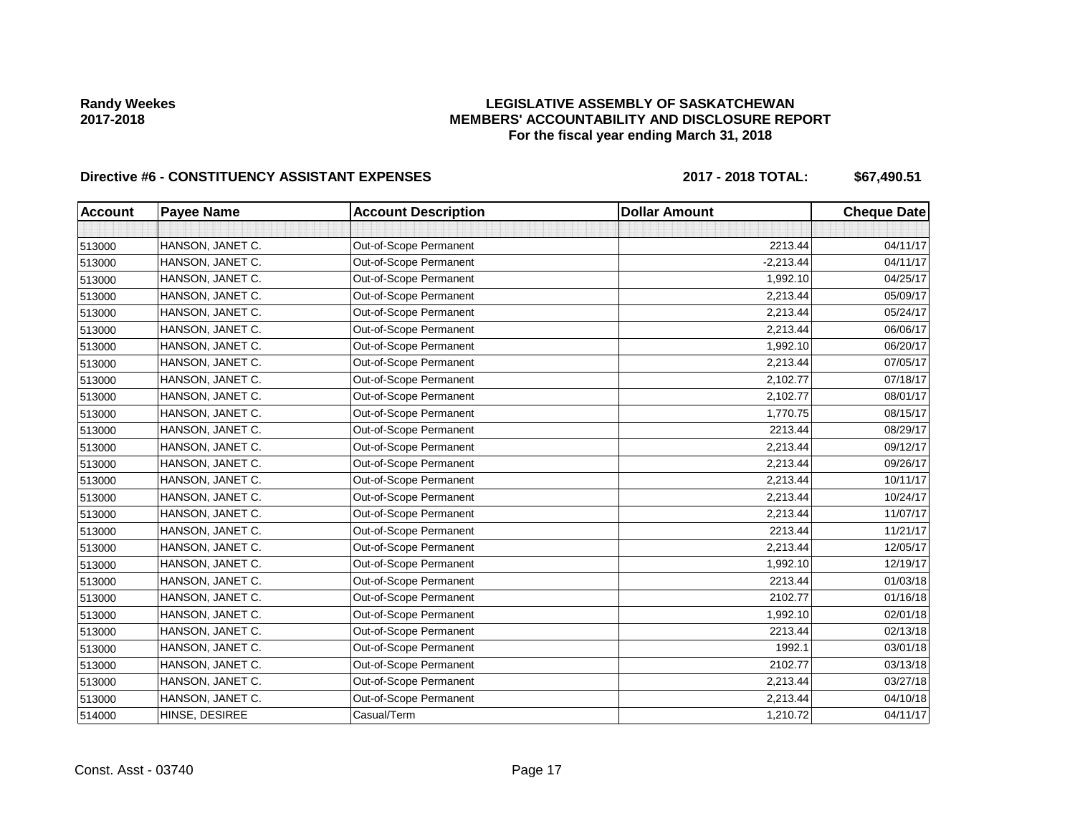# **LEGISLATIVE ASSEMBLY OF SASKATCHEWAN MEMBERS' ACCOUNTABILITY AND DISCLOSURE REPORT For the fiscal year ending March 31, 2018**

# Directive #6 - CONSTITUENCY ASSISTANT EXPENSES 2017 - 2018 TOTAL: \$67,490.51

| <b>Account</b> | <b>Payee Name</b> | <b>Account Description</b> | <b>Dollar Amount</b> | <b>Cheque Date</b> |
|----------------|-------------------|----------------------------|----------------------|--------------------|
|                |                   |                            |                      |                    |
| 513000         | HANSON, JANET C.  | Out-of-Scope Permanent     | 2213.44              | 04/11/17           |
| 513000         | HANSON, JANET C.  | Out-of-Scope Permanent     | $-2,213.44$          | 04/11/17           |
| 513000         | HANSON, JANET C.  | Out-of-Scope Permanent     | 1,992.10             | 04/25/17           |
| 513000         | HANSON, JANET C.  | Out-of-Scope Permanent     | 2,213.44             | 05/09/17           |
| 513000         | HANSON, JANET C.  | Out-of-Scope Permanent     | 2,213.44             | 05/24/17           |
| 513000         | HANSON, JANET C.  | Out-of-Scope Permanent     | 2,213.44             | 06/06/17           |
| 513000         | HANSON, JANET C.  | Out-of-Scope Permanent     | 1,992.10             | 06/20/17           |
| 513000         | HANSON, JANET C.  | Out-of-Scope Permanent     | 2,213.44             | 07/05/17           |
| 513000         | HANSON, JANET C.  | Out-of-Scope Permanent     | 2,102.77             | 07/18/17           |
| 513000         | HANSON, JANET C.  | Out-of-Scope Permanent     | 2,102.77             | 08/01/17           |
| 513000         | HANSON, JANET C.  | Out-of-Scope Permanent     | 1,770.75             | 08/15/17           |
| 513000         | HANSON, JANET C.  | Out-of-Scope Permanent     | 2213.44              | 08/29/17           |
| 513000         | HANSON, JANET C.  | Out-of-Scope Permanent     | 2,213.44             | 09/12/17           |
| 513000         | HANSON, JANET C.  | Out-of-Scope Permanent     | 2,213.44             | 09/26/17           |
| 513000         | HANSON, JANET C.  | Out-of-Scope Permanent     | 2,213.44             | 10/11/17           |
| 513000         | HANSON, JANET C.  | Out-of-Scope Permanent     | 2,213.44             | 10/24/17           |
| 513000         | HANSON, JANET C.  | Out-of-Scope Permanent     | 2,213.44             | 11/07/17           |
| 513000         | HANSON, JANET C.  | Out-of-Scope Permanent     | 2213.44              | 11/21/17           |
| 513000         | HANSON, JANET C.  | Out-of-Scope Permanent     | 2,213.44             | 12/05/17           |
| 513000         | HANSON, JANET C.  | Out-of-Scope Permanent     | 1,992.10             | 12/19/17           |
| 513000         | HANSON, JANET C.  | Out-of-Scope Permanent     | 2213.44              | 01/03/18           |
| 513000         | HANSON, JANET C.  | Out-of-Scope Permanent     | 2102.77              | 01/16/18           |
| 513000         | HANSON, JANET C.  | Out-of-Scope Permanent     | 1,992.10             | 02/01/18           |
| 513000         | HANSON, JANET C.  | Out-of-Scope Permanent     | 2213.44              | 02/13/18           |
| 513000         | HANSON, JANET C.  | Out-of-Scope Permanent     | 1992.1               | 03/01/18           |
| 513000         | HANSON, JANET C.  | Out-of-Scope Permanent     | 2102.77              | 03/13/18           |
| 513000         | HANSON, JANET C.  | Out-of-Scope Permanent     | 2,213.44             | 03/27/18           |
| 513000         | HANSON, JANET C.  | Out-of-Scope Permanent     | 2,213.44             | 04/10/18           |
| 514000         | HINSE, DESIREE    | Casual/Term                | 1,210.72             | 04/11/17           |